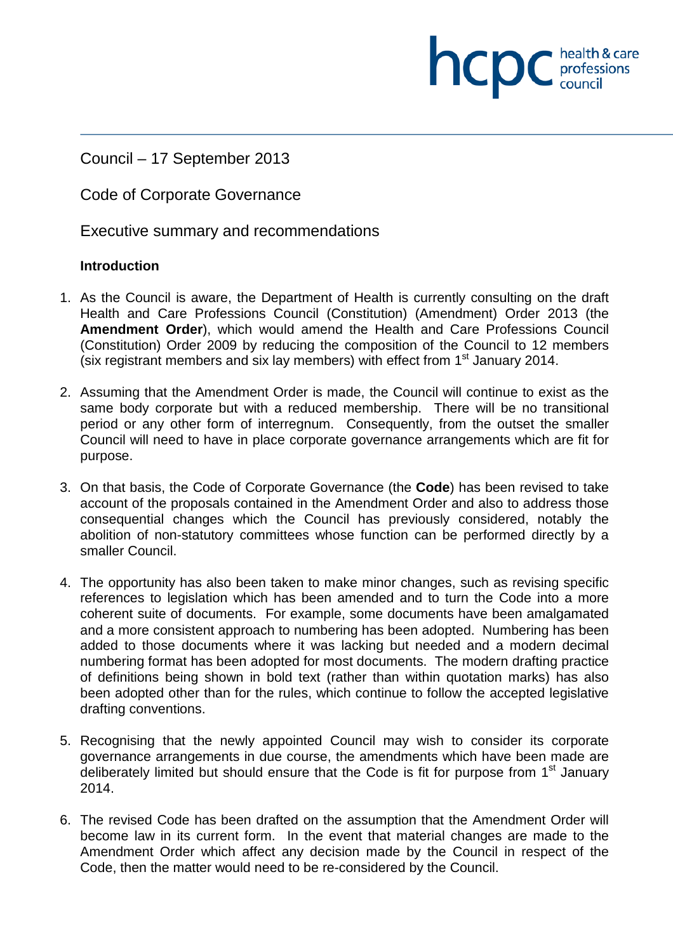Council – 17 September 2013

Code of Corporate Governance

Executive summary and recommendations

### **Introduction**

1. As the Council is aware, the Department of Health is currently consulting on the draft Health and Care Professions Council (Constitution) (Amendment) Order 2013 (the **Amendment Order**), which would amend the Health and Care Professions Council (Constitution) Order 2009 by reducing the composition of the Council to 12 members (six registrant members and six lay members) with effect from  $1<sup>st</sup>$  January 2014.

**NCDC** health & care

- 2. Assuming that the Amendment Order is made, the Council will continue to exist as the same body corporate but with a reduced membership. There will be no transitional period or any other form of interregnum. Consequently, from the outset the smaller Council will need to have in place corporate governance arrangements which are fit for purpose.
- 3. On that basis, the Code of Corporate Governance (the **Code**) has been revised to take account of the proposals contained in the Amendment Order and also to address those consequential changes which the Council has previously considered, notably the abolition of non-statutory committees whose function can be performed directly by a smaller Council.
- 4. The opportunity has also been taken to make minor changes, such as revising specific references to legislation which has been amended and to turn the Code into a more coherent suite of documents. For example, some documents have been amalgamated and a more consistent approach to numbering has been adopted. Numbering has been added to those documents where it was lacking but needed and a modern decimal numbering format has been adopted for most documents. The modern drafting practice of definitions being shown in bold text (rather than within quotation marks) has also been adopted other than for the rules, which continue to follow the accepted legislative drafting conventions.
- 5. Recognising that the newly appointed Council may wish to consider its corporate governance arrangements in due course, the amendments which have been made are deliberately limited but should ensure that the Code is fit for purpose from 1<sup>st</sup> January 2014.
- 6. The revised Code has been drafted on the assumption that the Amendment Order will become law in its current form. In the event that material changes are made to the Amendment Order which affect any decision made by the Council in respect of the Code, then the matter would need to be re-considered by the Council.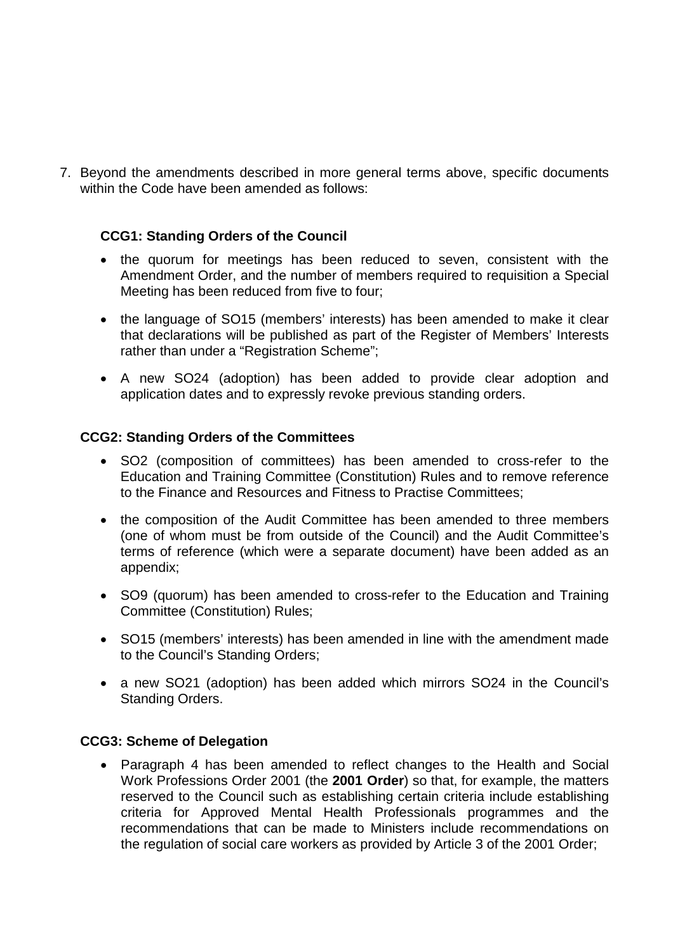7. Beyond the amendments described in more general terms above, specific documents within the Code have been amended as follows:

### **CCG1: Standing Orders of the Council**

- the quorum for meetings has been reduced to seven, consistent with the Amendment Order, and the number of members required to requisition a Special Meeting has been reduced from five to four;
- the language of SO15 (members' interests) has been amended to make it clear that declarations will be published as part of the Register of Members' Interests rather than under a "Registration Scheme";
- A new SO24 (adoption) has been added to provide clear adoption and application dates and to expressly revoke previous standing orders.

### **CCG2: Standing Orders of the Committees**

- SO2 (composition of committees) has been amended to cross-refer to the Education and Training Committee (Constitution) Rules and to remove reference to the Finance and Resources and Fitness to Practise Committees;
- the composition of the Audit Committee has been amended to three members (one of whom must be from outside of the Council) and the Audit Committee's terms of reference (which were a separate document) have been added as an appendix;
- SO9 (quorum) has been amended to cross-refer to the Education and Training Committee (Constitution) Rules;
- SO15 (members' interests) has been amended in line with the amendment made to the Council's Standing Orders;
- a new SO21 (adoption) has been added which mirrors SO24 in the Council's Standing Orders.

### **CCG3: Scheme of Delegation**

• Paragraph 4 has been amended to reflect changes to the Health and Social Work Professions Order 2001 (the **2001 Order**) so that, for example, the matters reserved to the Council such as establishing certain criteria include establishing criteria for Approved Mental Health Professionals programmes and the recommendations that can be made to Ministers include recommendations on the regulation of social care workers as provided by Article 3 of the 2001 Order;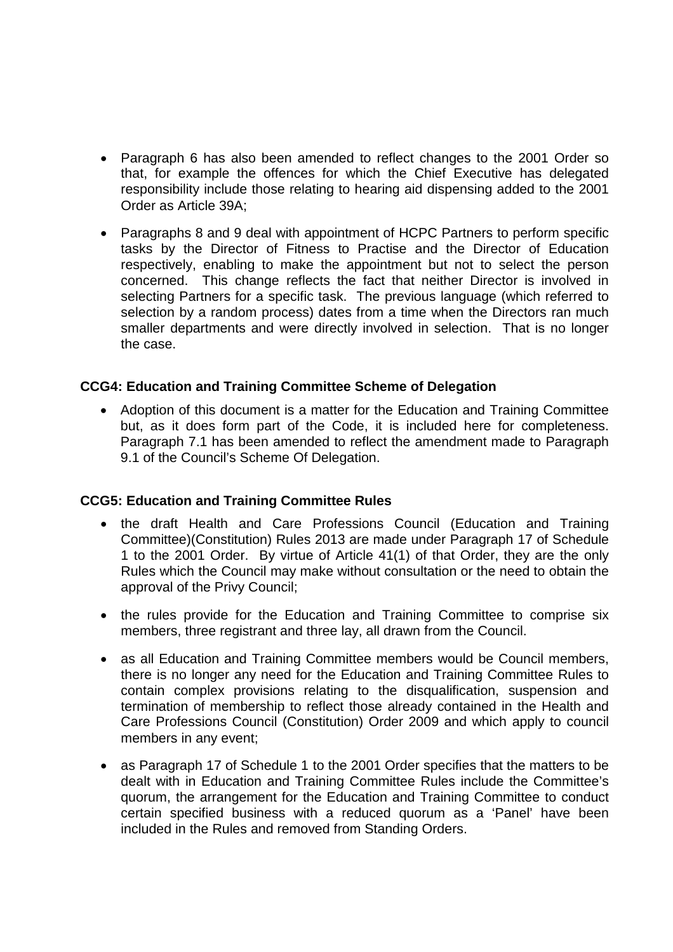- Paragraph 6 has also been amended to reflect changes to the 2001 Order so that, for example the offences for which the Chief Executive has delegated responsibility include those relating to hearing aid dispensing added to the 2001 Order as Article 39A;
- Paragraphs 8 and 9 deal with appointment of HCPC Partners to perform specific tasks by the Director of Fitness to Practise and the Director of Education respectively, enabling to make the appointment but not to select the person concerned. This change reflects the fact that neither Director is involved in selecting Partners for a specific task. The previous language (which referred to selection by a random process) dates from a time when the Directors ran much smaller departments and were directly involved in selection. That is no longer the case.

### **CCG4: Education and Training Committee Scheme of Delegation**

• Adoption of this document is a matter for the Education and Training Committee but, as it does form part of the Code, it is included here for completeness. Paragraph 7.1 has been amended to reflect the amendment made to Paragraph 9.1 of the Council's Scheme Of Delegation.

### **CCG5: Education and Training Committee Rules**

- the draft Health and Care Professions Council (Education and Training Committee)(Constitution) Rules 2013 are made under Paragraph 17 of Schedule 1 to the 2001 Order. By virtue of Article 41(1) of that Order, they are the only Rules which the Council may make without consultation or the need to obtain the approval of the Privy Council;
- the rules provide for the Education and Training Committee to comprise six members, three registrant and three lay, all drawn from the Council.
- as all Education and Training Committee members would be Council members, there is no longer any need for the Education and Training Committee Rules to contain complex provisions relating to the disqualification, suspension and termination of membership to reflect those already contained in the Health and Care Professions Council (Constitution) Order 2009 and which apply to council members in any event;
- as Paragraph 17 of Schedule 1 to the 2001 Order specifies that the matters to be dealt with in Education and Training Committee Rules include the Committee's quorum, the arrangement for the Education and Training Committee to conduct certain specified business with a reduced quorum as a 'Panel' have been included in the Rules and removed from Standing Orders.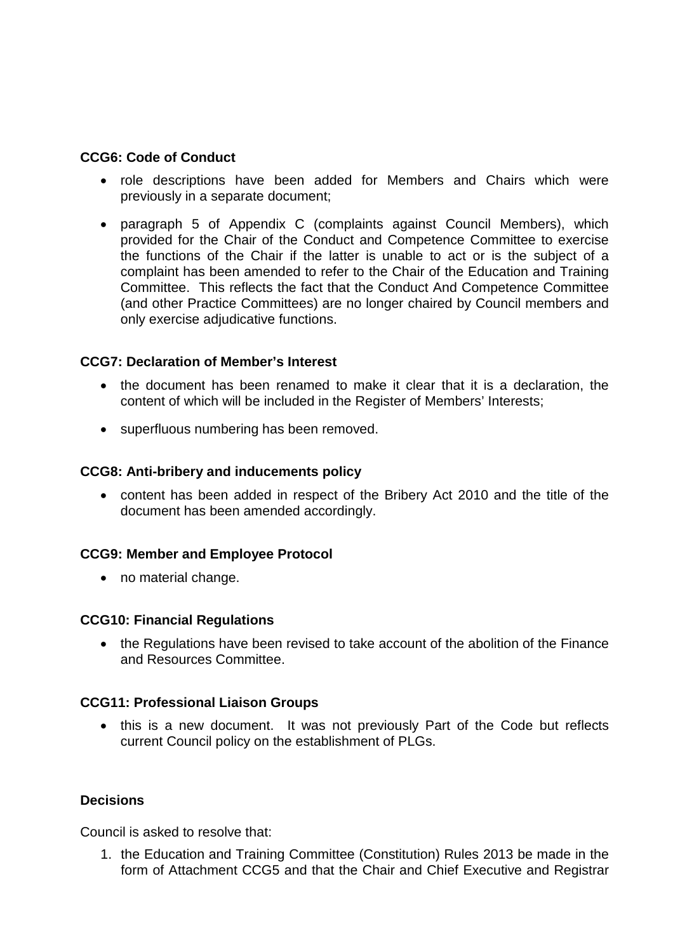### **CCG6: Code of Conduct**

- role descriptions have been added for Members and Chairs which were previously in a separate document;
- paragraph 5 of Appendix C (complaints against Council Members), which provided for the Chair of the Conduct and Competence Committee to exercise the functions of the Chair if the latter is unable to act or is the subject of a complaint has been amended to refer to the Chair of the Education and Training Committee. This reflects the fact that the Conduct And Competence Committee (and other Practice Committees) are no longer chaired by Council members and only exercise adjudicative functions.

### **CCG7: Declaration of Member's Interest**

- the document has been renamed to make it clear that it is a declaration, the content of which will be included in the Register of Members' Interests;
- superfluous numbering has been removed.

### **CCG8: Anti-bribery and inducements policy**

• content has been added in respect of the Bribery Act 2010 and the title of the document has been amended accordingly.

### **CCG9: Member and Employee Protocol**

• no material change.

### **CCG10: Financial Regulations**

• the Regulations have been revised to take account of the abolition of the Finance and Resources Committee.

### **CCG11: Professional Liaison Groups**

• this is a new document. It was not previously Part of the Code but reflects current Council policy on the establishment of PLGs.

### **Decisions**

Council is asked to resolve that:

1. the Education and Training Committee (Constitution) Rules 2013 be made in the form of Attachment CCG5 and that the Chair and Chief Executive and Registrar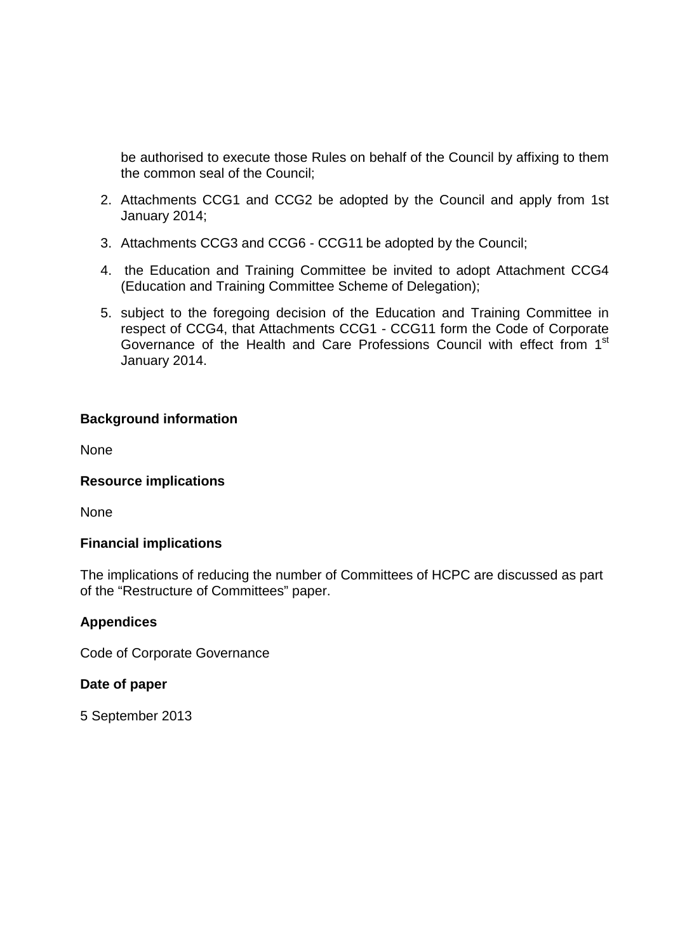be authorised to execute those Rules on behalf of the Council by affixing to them the common seal of the Council;

- 2. Attachments CCG1 and CCG2 be adopted by the Council and apply from 1st January 2014;
- 3. Attachments CCG3 and CCG6 CCG11 be adopted by the Council;
- 4. the Education and Training Committee be invited to adopt Attachment CCG4 (Education and Training Committee Scheme of Delegation);
- 5. subject to the foregoing decision of the Education and Training Committee in respect of CCG4, that Attachments CCG1 - CCG11 form the Code of Corporate Governance of the Health and Care Professions Council with effect from 1<sup>st</sup> January 2014.

### **Background information**

None

### **Resource implications**

None

### **Financial implications**

The implications of reducing the number of Committees of HCPC are discussed as part of the "Restructure of Committees" paper.

### **Appendices**

Code of Corporate Governance

### **Date of paper**

5 September 2013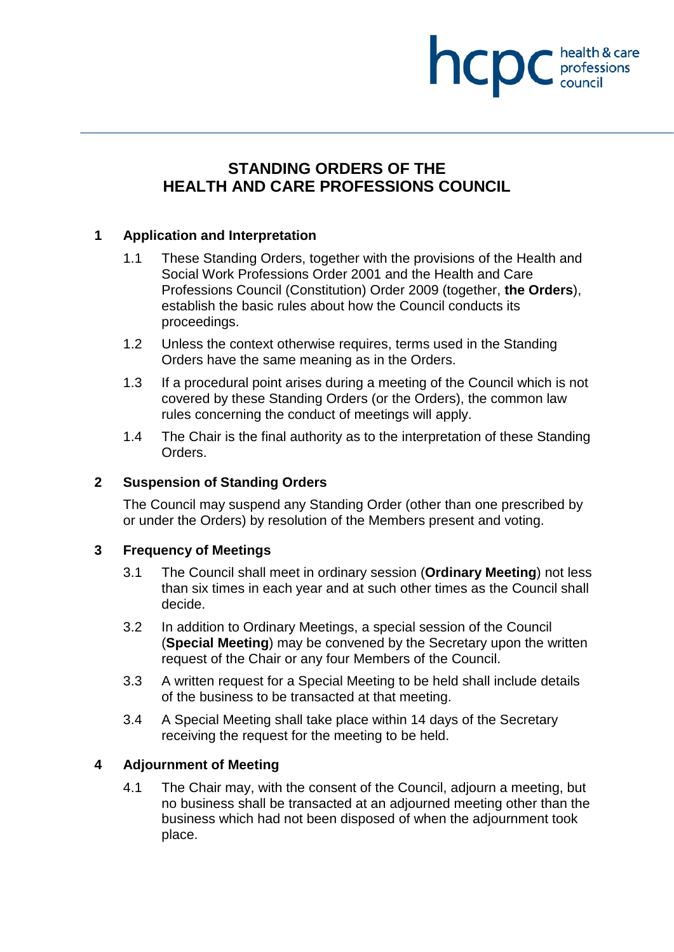# health & care hcpc professions<br>council

# **STANDING ORDERS OF THE HEALTH AND CARE PROFESSIONS COUNCIL**

### **1 Application and Interpretation**

- 1.1 These Standing Orders, together with the provisions of the Health and Social Work Professions Order 2001 and the Health and Care Professions Council (Constitution) Order 2009 (together, **the Orders**), establish the basic rules about how the Council conducts its proceedings.
- 1.2 Unless the context otherwise requires, terms used in the Standing Orders have the same meaning as in the Orders.
- 1.3 If a procedural point arises during a meeting of the Council which is not covered by these Standing Orders (or the Orders), the common law rules concerning the conduct of meetings will apply.
- 1.4 The Chair is the final authority as to the interpretation of these Standing Orders.

### **2 Suspension of Standing Orders**

The Council may suspend any Standing Order (other than one prescribed by or under the Orders) by resolution of the Members present and voting.

### **3 Frequency of Meetings**

- 3.1 The Council shall meet in ordinary session (**Ordinary Meeting**) not less than six times in each year and at such other times as the Council shall decide.
- 3.2 In addition to Ordinary Meetings, a special session of the Council (**Special Meeting**) may be convened by the Secretary upon the written request of the Chair or any four Members of the Council.
- 3.3 A written request for a Special Meeting to be held shall include details of the business to be transacted at that meeting.
- 3.4 A Special Meeting shall take place within 14 days of the Secretary receiving the request for the meeting to be held.

### **4 Adjournment of Meeting**

4.1 The Chair may, with the consent of the Council, adjourn a meeting, but no business shall be transacted at an adjourned meeting other than the business which had not been disposed of when the adjournment took place.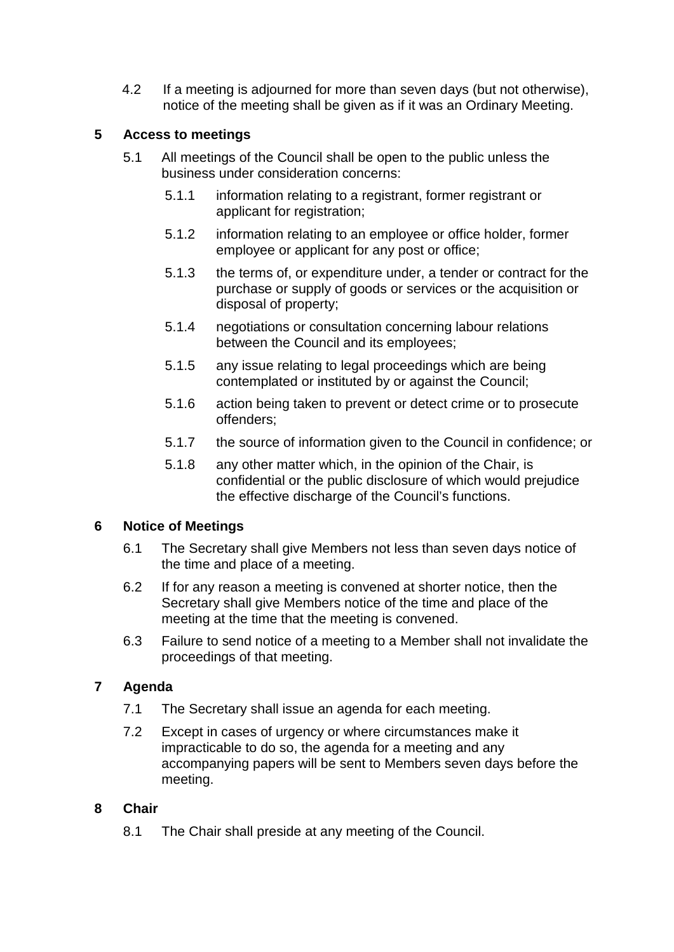4.2 If a meeting is adjourned for more than seven days (but not otherwise), notice of the meeting shall be given as if it was an Ordinary Meeting.

### **5 Access to meetings**

- 5.1 All meetings of the Council shall be open to the public unless the business under consideration concerns:
	- 5.1.1 information relating to a registrant, former registrant or applicant for registration;
	- 5.1.2 information relating to an employee or office holder, former employee or applicant for any post or office;
	- 5.1.3 the terms of, or expenditure under, a tender or contract for the purchase or supply of goods or services or the acquisition or disposal of property;
	- 5.1.4 negotiations or consultation concerning labour relations between the Council and its employees;
	- 5.1.5 any issue relating to legal proceedings which are being contemplated or instituted by or against the Council;
	- 5.1.6 action being taken to prevent or detect crime or to prosecute offenders;
	- 5.1.7 the source of information given to the Council in confidence; or
	- 5.1.8 any other matter which, in the opinion of the Chair, is confidential or the public disclosure of which would prejudice the effective discharge of the Council's functions.

### **6 Notice of Meetings**

- 6.1 The Secretary shall give Members not less than seven days notice of the time and place of a meeting.
- 6.2 If for any reason a meeting is convened at shorter notice, then the Secretary shall give Members notice of the time and place of the meeting at the time that the meeting is convened.
- 6.3 Failure to send notice of a meeting to a Member shall not invalidate the proceedings of that meeting.

### **7 Agenda**

- 7.1 The Secretary shall issue an agenda for each meeting.
- 7.2 Except in cases of urgency or where circumstances make it impracticable to do so, the agenda for a meeting and any accompanying papers will be sent to Members seven days before the meeting.

### **8 Chair**

8.1 The Chair shall preside at any meeting of the Council.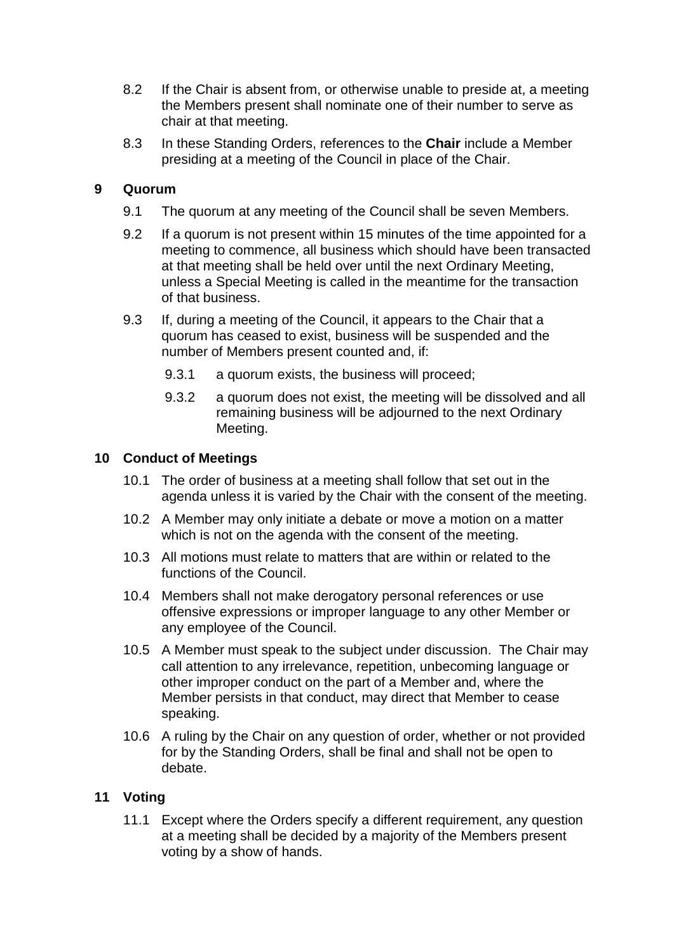- 8.2 If the Chair is absent from, or otherwise unable to preside at, a meeting the Members present shall nominate one of their number to serve as chair at that meeting.
- 8.3 In these Standing Orders, references to the **Chair** include a Member presiding at a meeting of the Council in place of the Chair.

### **9 Quorum**

- 9.1 The quorum at any meeting of the Council shall be seven Members.
- 9.2 If a quorum is not present within 15 minutes of the time appointed for a meeting to commence, all business which should have been transacted at that meeting shall be held over until the next Ordinary Meeting, unless a Special Meeting is called in the meantime for the transaction of that business.
- 9.3 If, during a meeting of the Council, it appears to the Chair that a quorum has ceased to exist, business will be suspended and the number of Members present counted and, if:
	- 9.3.1 a quorum exists, the business will proceed;
	- 9.3.2 a quorum does not exist, the meeting will be dissolved and all remaining business will be adjourned to the next Ordinary Meeting.

### **10 Conduct of Meetings**

- 10.1 The order of business at a meeting shall follow that set out in the agenda unless it is varied by the Chair with the consent of the meeting.
- 10.2 A Member may only initiate a debate or move a motion on a matter which is not on the agenda with the consent of the meeting.
- 10.3 All motions must relate to matters that are within or related to the functions of the Council.
- 10.4 Members shall not make derogatory personal references or use offensive expressions or improper language to any other Member or any employee of the Council.
- 10.5 A Member must speak to the subject under discussion. The Chair may call attention to any irrelevance, repetition, unbecoming language or other improper conduct on the part of a Member and, where the Member persists in that conduct, may direct that Member to cease speaking.
- 10.6 A ruling by the Chair on any question of order, whether or not provided for by the Standing Orders, shall be final and shall not be open to debate.

### **11 Voting**

11.1 Except where the Orders specify a different requirement, any question at a meeting shall be decided by a majority of the Members present voting by a show of hands.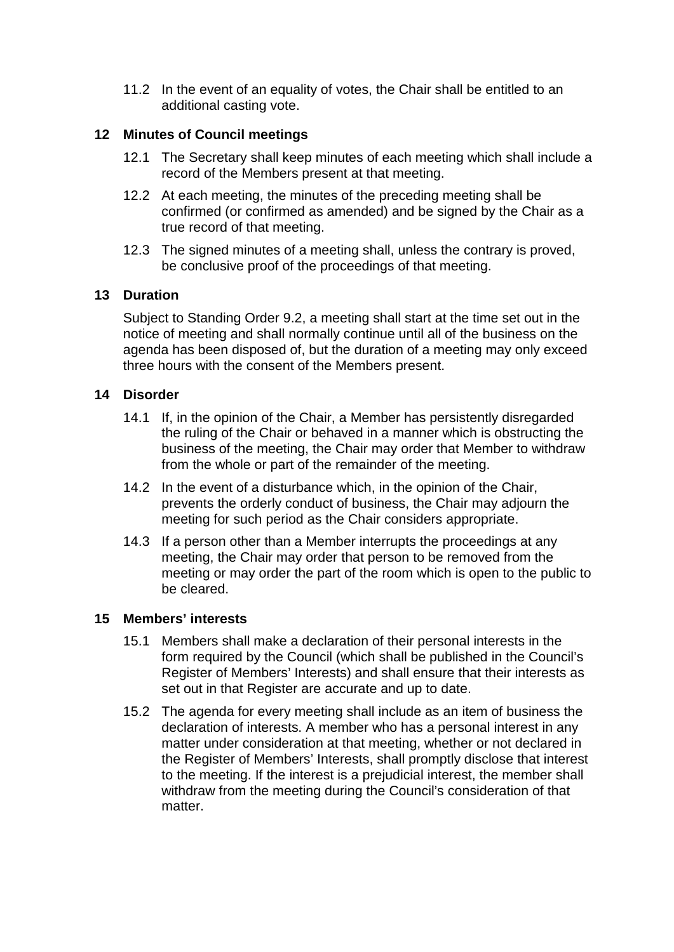11.2 In the event of an equality of votes, the Chair shall be entitled to an additional casting vote.

### **12 Minutes of Council meetings**

- 12.1 The Secretary shall keep minutes of each meeting which shall include a record of the Members present at that meeting.
- 12.2 At each meeting, the minutes of the preceding meeting shall be confirmed (or confirmed as amended) and be signed by the Chair as a true record of that meeting.
- 12.3 The signed minutes of a meeting shall, unless the contrary is proved, be conclusive proof of the proceedings of that meeting.

### **13 Duration**

Subject to Standing Order 9.2, a meeting shall start at the time set out in the notice of meeting and shall normally continue until all of the business on the agenda has been disposed of, but the duration of a meeting may only exceed three hours with the consent of the Members present.

### **14 Disorder**

- 14.1 If, in the opinion of the Chair, a Member has persistently disregarded the ruling of the Chair or behaved in a manner which is obstructing the business of the meeting, the Chair may order that Member to withdraw from the whole or part of the remainder of the meeting.
- 14.2 In the event of a disturbance which, in the opinion of the Chair, prevents the orderly conduct of business, the Chair may adjourn the meeting for such period as the Chair considers appropriate.
- 14.3 If a person other than a Member interrupts the proceedings at any meeting, the Chair may order that person to be removed from the meeting or may order the part of the room which is open to the public to be cleared.

### **15 Members' interests**

- 15.1 Members shall make a declaration of their personal interests in the form required by the Council (which shall be published in the Council's Register of Members' Interests) and shall ensure that their interests as set out in that Register are accurate and up to date.
- 15.2 The agenda for every meeting shall include as an item of business the declaration of interests. A member who has a personal interest in any matter under consideration at that meeting, whether or not declared in the Register of Members' Interests, shall promptly disclose that interest to the meeting. If the interest is a prejudicial interest, the member shall withdraw from the meeting during the Council's consideration of that matter.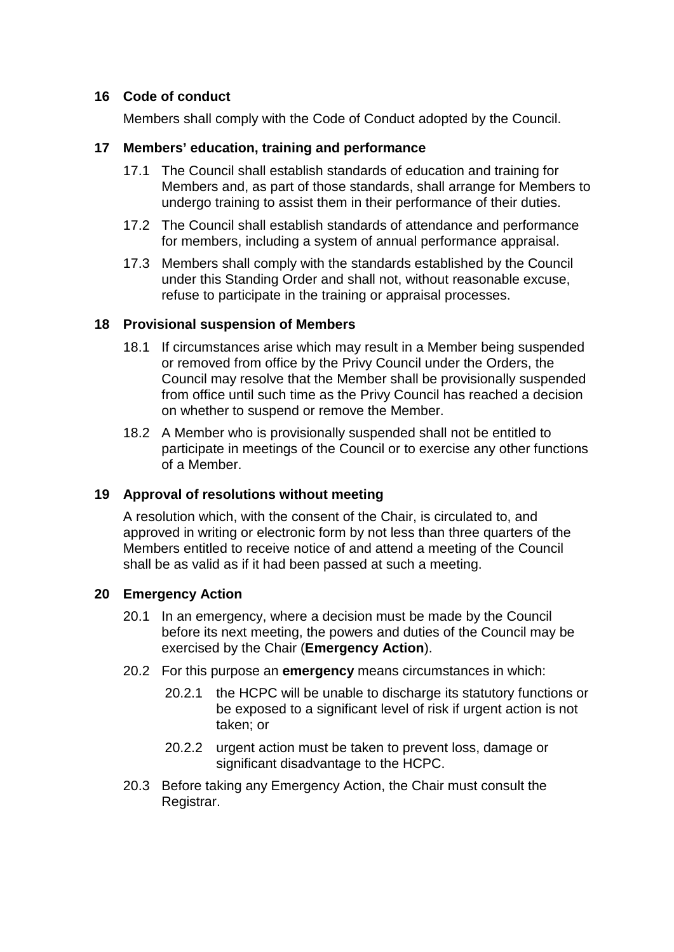### **16 Code of conduct**

Members shall comply with the Code of Conduct adopted by the Council.

### **17 Members' education, training and performance**

- 17.1 The Council shall establish standards of education and training for Members and, as part of those standards, shall arrange for Members to undergo training to assist them in their performance of their duties.
- 17.2 The Council shall establish standards of attendance and performance for members, including a system of annual performance appraisal.
- 17.3 Members shall comply with the standards established by the Council under this Standing Order and shall not, without reasonable excuse, refuse to participate in the training or appraisal processes.

### **18 Provisional suspension of Members**

- 18.1 If circumstances arise which may result in a Member being suspended or removed from office by the Privy Council under the Orders, the Council may resolve that the Member shall be provisionally suspended from office until such time as the Privy Council has reached a decision on whether to suspend or remove the Member.
- 18.2 A Member who is provisionally suspended shall not be entitled to participate in meetings of the Council or to exercise any other functions of a Member.

### **19 Approval of resolutions without meeting**

A resolution which, with the consent of the Chair, is circulated to, and approved in writing or electronic form by not less than three quarters of the Members entitled to receive notice of and attend a meeting of the Council shall be as valid as if it had been passed at such a meeting.

### **20 Emergency Action**

- 20.1 In an emergency, where a decision must be made by the Council before its next meeting, the powers and duties of the Council may be exercised by the Chair (**Emergency Action**).
- 20.2 For this purpose an **emergency** means circumstances in which:
	- 20.2.1 the HCPC will be unable to discharge its statutory functions or be exposed to a significant level of risk if urgent action is not taken; or
	- 20.2.2 urgent action must be taken to prevent loss, damage or significant disadvantage to the HCPC.
- 20.3 Before taking any Emergency Action, the Chair must consult the Registrar.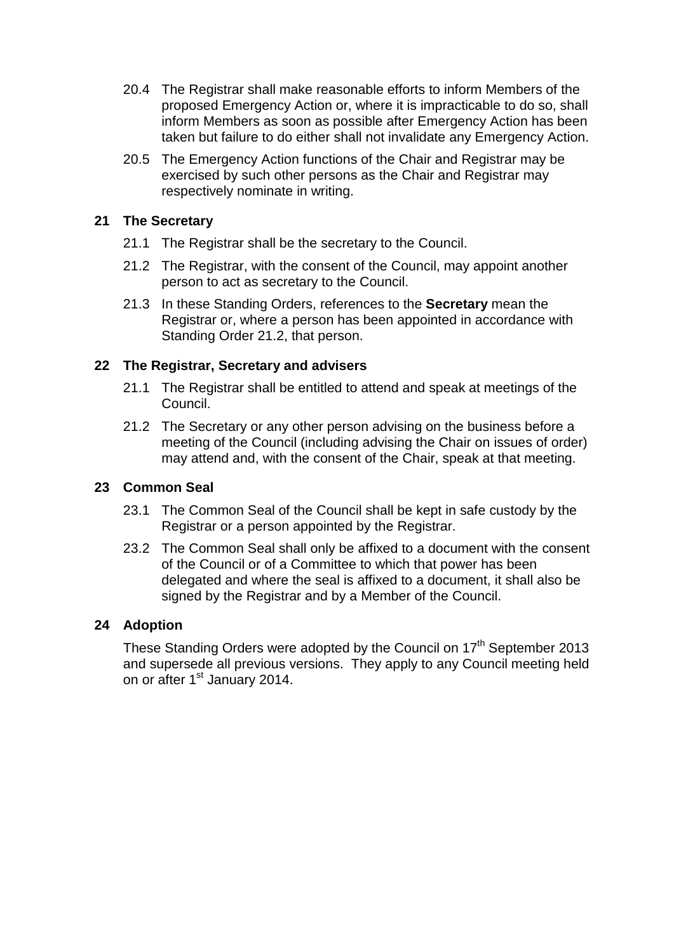- 20.4 The Registrar shall make reasonable efforts to inform Members of the proposed Emergency Action or, where it is impracticable to do so, shall inform Members as soon as possible after Emergency Action has been taken but failure to do either shall not invalidate any Emergency Action.
- 20.5 The Emergency Action functions of the Chair and Registrar may be exercised by such other persons as the Chair and Registrar may respectively nominate in writing.

### **21 The Secretary**

- 21.1 The Registrar shall be the secretary to the Council.
- 21.2 The Registrar, with the consent of the Council, may appoint another person to act as secretary to the Council.
- 21.3 In these Standing Orders, references to the **Secretary** mean the Registrar or, where a person has been appointed in accordance with Standing Order 21.2, that person.

### **22 The Registrar, Secretary and advisers**

- 21.1 The Registrar shall be entitled to attend and speak at meetings of the Council.
- 21.2 The Secretary or any other person advising on the business before a meeting of the Council (including advising the Chair on issues of order) may attend and, with the consent of the Chair, speak at that meeting.

### **23 Common Seal**

- 23.1 The Common Seal of the Council shall be kept in safe custody by the Registrar or a person appointed by the Registrar.
- 23.2 The Common Seal shall only be affixed to a document with the consent of the Council or of a Committee to which that power has been delegated and where the seal is affixed to a document, it shall also be signed by the Registrar and by a Member of the Council.

### **24 Adoption**

These Standing Orders were adopted by the Council on 17<sup>th</sup> September 2013 and supersede all previous versions. They apply to any Council meeting held on or after 1<sup>st</sup> January 2014.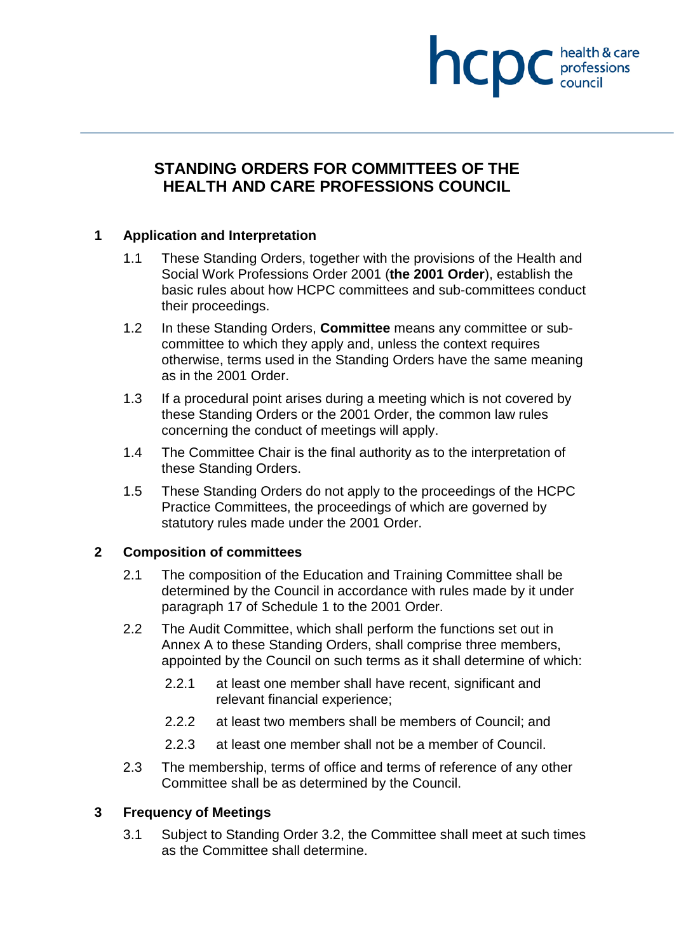# **STANDING ORDERS FOR COMMITTEES OF THE HEALTH AND CARE PROFESSIONS COUNCIL**

health & care

professions<br>council

hcpc

### **1 Application and Interpretation**

- 1.1 These Standing Orders, together with the provisions of the Health and Social Work Professions Order 2001 (**the 2001 Order**), establish the basic rules about how HCPC committees and sub-committees conduct their proceedings.
- 1.2 In these Standing Orders, **Committee** means any committee or subcommittee to which they apply and, unless the context requires otherwise, terms used in the Standing Orders have the same meaning as in the 2001 Order.
- 1.3 If a procedural point arises during a meeting which is not covered by these Standing Orders or the 2001 Order, the common law rules concerning the conduct of meetings will apply.
- 1.4 The Committee Chair is the final authority as to the interpretation of these Standing Orders.
- 1.5 These Standing Orders do not apply to the proceedings of the HCPC Practice Committees, the proceedings of which are governed by statutory rules made under the 2001 Order.

### **2 Composition of committees**

- 2.1 The composition of the Education and Training Committee shall be determined by the Council in accordance with rules made by it under paragraph 17 of Schedule 1 to the 2001 Order.
- 2.2 The Audit Committee, which shall perform the functions set out in Annex A to these Standing Orders, shall comprise three members, appointed by the Council on such terms as it shall determine of which:
	- 2.2.1 at least one member shall have recent, significant and relevant financial experience;
	- 2.2.2 at least two members shall be members of Council; and
	- 2.2.3 at least one member shall not be a member of Council.
- 2.3 The membership, terms of office and terms of reference of any other Committee shall be as determined by the Council.

### **3 Frequency of Meetings**

3.1 Subject to Standing Order 3.2, the Committee shall meet at such times as the Committee shall determine.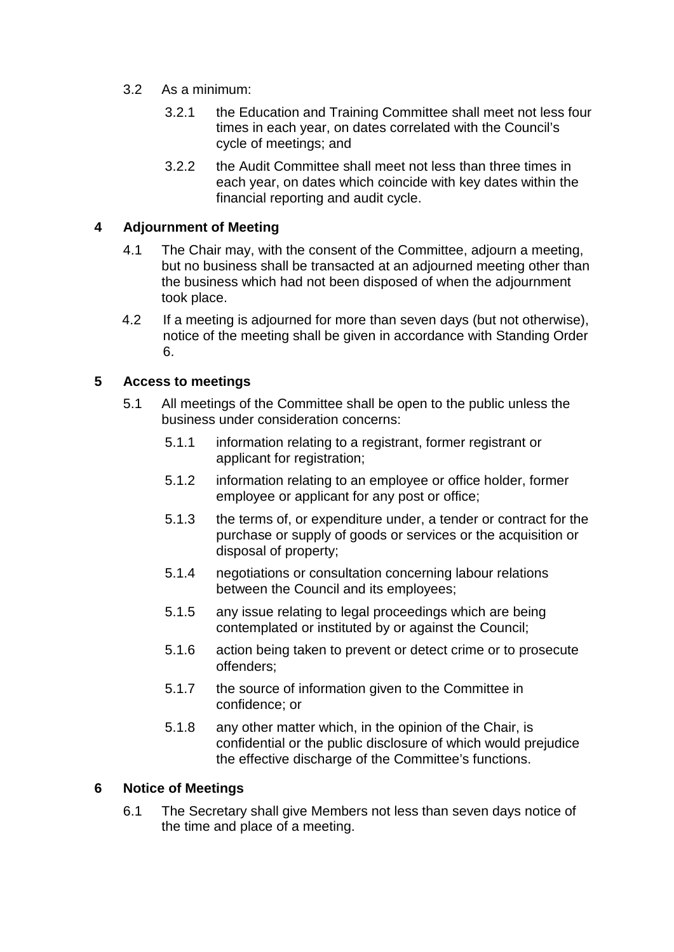- 3.2 As a minimum:
	- 3.2.1 the Education and Training Committee shall meet not less four times in each year, on dates correlated with the Council's cycle of meetings; and
	- 3.2.2 the Audit Committee shall meet not less than three times in each year, on dates which coincide with key dates within the financial reporting and audit cycle.

### **4 Adjournment of Meeting**

- 4.1 The Chair may, with the consent of the Committee, adjourn a meeting, but no business shall be transacted at an adjourned meeting other than the business which had not been disposed of when the adjournment took place.
- 4.2 If a meeting is adjourned for more than seven days (but not otherwise), notice of the meeting shall be given in accordance with Standing Order 6.

### **5 Access to meetings**

- 5.1 All meetings of the Committee shall be open to the public unless the business under consideration concerns:
	- 5.1.1 information relating to a registrant, former registrant or applicant for registration;
	- 5.1.2 information relating to an employee or office holder, former employee or applicant for any post or office;
	- 5.1.3 the terms of, or expenditure under, a tender or contract for the purchase or supply of goods or services or the acquisition or disposal of property;
	- 5.1.4 negotiations or consultation concerning labour relations between the Council and its employees;
	- 5.1.5 any issue relating to legal proceedings which are being contemplated or instituted by or against the Council;
	- 5.1.6 action being taken to prevent or detect crime or to prosecute offenders;
	- 5.1.7 the source of information given to the Committee in confidence; or
	- 5.1.8 any other matter which, in the opinion of the Chair, is confidential or the public disclosure of which would prejudice the effective discharge of the Committee's functions.

### **6 Notice of Meetings**

6.1 The Secretary shall give Members not less than seven days notice of the time and place of a meeting.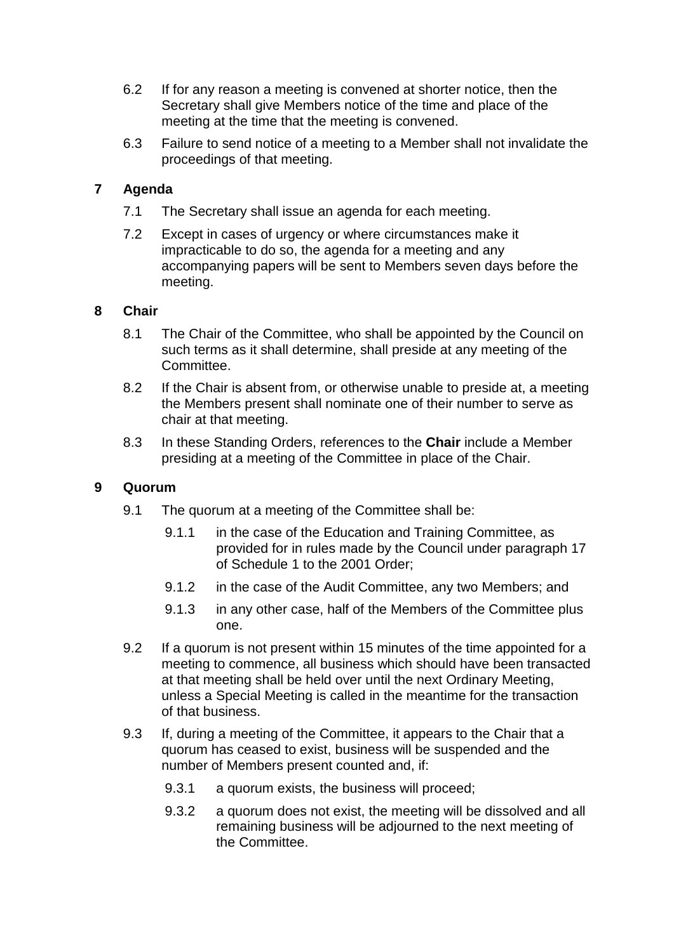- 6.2 If for any reason a meeting is convened at shorter notice, then the Secretary shall give Members notice of the time and place of the meeting at the time that the meeting is convened.
- 6.3 Failure to send notice of a meeting to a Member shall not invalidate the proceedings of that meeting.

### **7 Agenda**

- 7.1 The Secretary shall issue an agenda for each meeting.
- 7.2 Except in cases of urgency or where circumstances make it impracticable to do so, the agenda for a meeting and any accompanying papers will be sent to Members seven days before the meeting.

### **8 Chair**

- 8.1 The Chair of the Committee, who shall be appointed by the Council on such terms as it shall determine, shall preside at any meeting of the Committee.
- 8.2 If the Chair is absent from, or otherwise unable to preside at, a meeting the Members present shall nominate one of their number to serve as chair at that meeting.
- 8.3 In these Standing Orders, references to the **Chair** include a Member presiding at a meeting of the Committee in place of the Chair.

### **9 Quorum**

- 9.1 The quorum at a meeting of the Committee shall be:
	- 9.1.1 in the case of the Education and Training Committee, as provided for in rules made by the Council under paragraph 17 of Schedule 1 to the 2001 Order;
	- 9.1.2 in the case of the Audit Committee, any two Members; and
	- 9.1.3 in any other case, half of the Members of the Committee plus one.
- 9.2 If a quorum is not present within 15 minutes of the time appointed for a meeting to commence, all business which should have been transacted at that meeting shall be held over until the next Ordinary Meeting, unless a Special Meeting is called in the meantime for the transaction of that business.
- 9.3 If, during a meeting of the Committee, it appears to the Chair that a quorum has ceased to exist, business will be suspended and the number of Members present counted and, if:
	- 9.3.1 a quorum exists, the business will proceed;
	- 9.3.2 a quorum does not exist, the meeting will be dissolved and all remaining business will be adjourned to the next meeting of the Committee.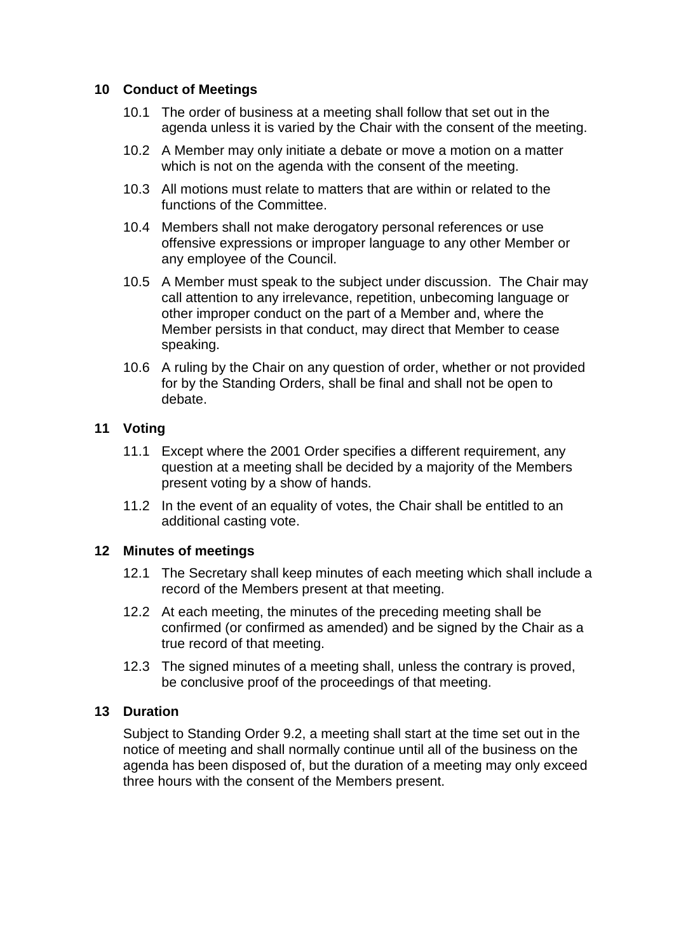### **10 Conduct of Meetings**

- 10.1 The order of business at a meeting shall follow that set out in the agenda unless it is varied by the Chair with the consent of the meeting.
- 10.2 A Member may only initiate a debate or move a motion on a matter which is not on the agenda with the consent of the meeting.
- 10.3 All motions must relate to matters that are within or related to the functions of the Committee.
- 10.4 Members shall not make derogatory personal references or use offensive expressions or improper language to any other Member or any employee of the Council.
- 10.5 A Member must speak to the subject under discussion. The Chair may call attention to any irrelevance, repetition, unbecoming language or other improper conduct on the part of a Member and, where the Member persists in that conduct, may direct that Member to cease speaking.
- 10.6 A ruling by the Chair on any question of order, whether or not provided for by the Standing Orders, shall be final and shall not be open to debate.

### **11 Voting**

- 11.1 Except where the 2001 Order specifies a different requirement, any question at a meeting shall be decided by a majority of the Members present voting by a show of hands.
- 11.2 In the event of an equality of votes, the Chair shall be entitled to an additional casting vote.

### **12 Minutes of meetings**

- 12.1 The Secretary shall keep minutes of each meeting which shall include a record of the Members present at that meeting.
- 12.2 At each meeting, the minutes of the preceding meeting shall be confirmed (or confirmed as amended) and be signed by the Chair as a true record of that meeting.
- 12.3 The signed minutes of a meeting shall, unless the contrary is proved. be conclusive proof of the proceedings of that meeting.

### **13 Duration**

Subject to Standing Order 9.2, a meeting shall start at the time set out in the notice of meeting and shall normally continue until all of the business on the agenda has been disposed of, but the duration of a meeting may only exceed three hours with the consent of the Members present.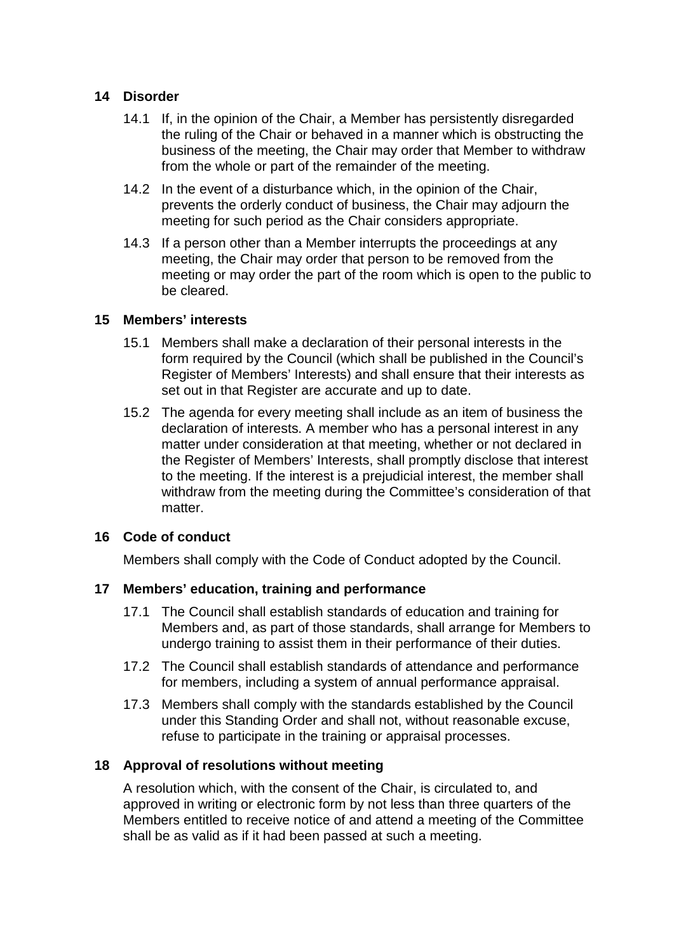### **14 Disorder**

- 14.1 If, in the opinion of the Chair, a Member has persistently disregarded the ruling of the Chair or behaved in a manner which is obstructing the business of the meeting, the Chair may order that Member to withdraw from the whole or part of the remainder of the meeting.
- 14.2 In the event of a disturbance which, in the opinion of the Chair, prevents the orderly conduct of business, the Chair may adjourn the meeting for such period as the Chair considers appropriate.
- 14.3 If a person other than a Member interrupts the proceedings at any meeting, the Chair may order that person to be removed from the meeting or may order the part of the room which is open to the public to be cleared.

### **15 Members' interests**

- 15.1 Members shall make a declaration of their personal interests in the form required by the Council (which shall be published in the Council's Register of Members' Interests) and shall ensure that their interests as set out in that Register are accurate and up to date.
- 15.2 The agenda for every meeting shall include as an item of business the declaration of interests. A member who has a personal interest in any matter under consideration at that meeting, whether or not declared in the Register of Members' Interests, shall promptly disclose that interest to the meeting. If the interest is a prejudicial interest, the member shall withdraw from the meeting during the Committee's consideration of that matter.

### **16 Code of conduct**

Members shall comply with the Code of Conduct adopted by the Council.

### **17 Members' education, training and performance**

- 17.1 The Council shall establish standards of education and training for Members and, as part of those standards, shall arrange for Members to undergo training to assist them in their performance of their duties.
- 17.2 The Council shall establish standards of attendance and performance for members, including a system of annual performance appraisal.
- 17.3 Members shall comply with the standards established by the Council under this Standing Order and shall not, without reasonable excuse, refuse to participate in the training or appraisal processes.

### **18 Approval of resolutions without meeting**

A resolution which, with the consent of the Chair, is circulated to, and approved in writing or electronic form by not less than three quarters of the Members entitled to receive notice of and attend a meeting of the Committee shall be as valid as if it had been passed at such a meeting.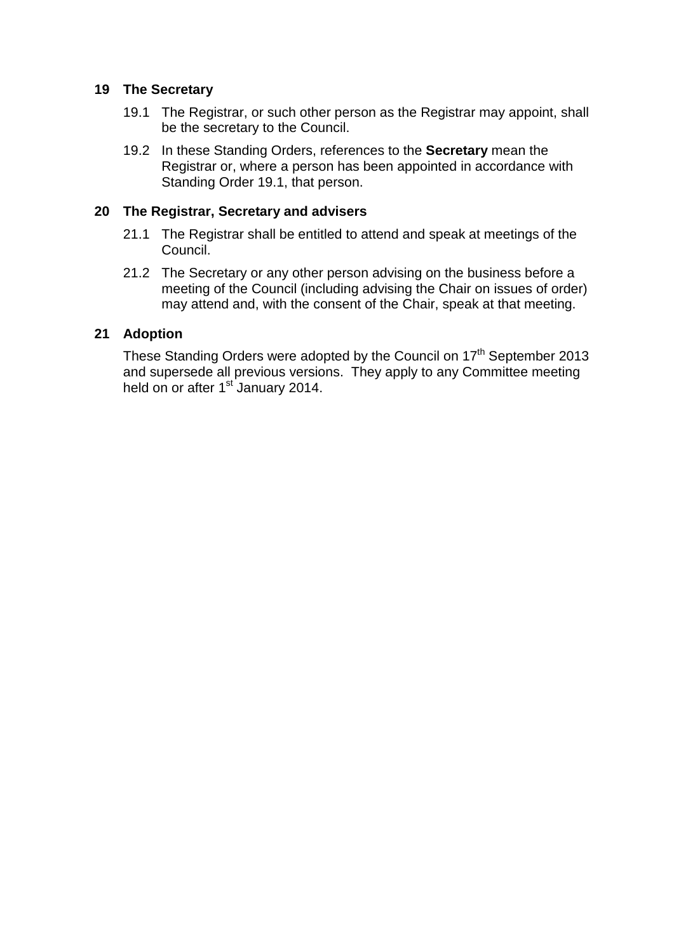### **19 The Secretary**

- 19.1 The Registrar, or such other person as the Registrar may appoint, shall be the secretary to the Council.
- 19.2 In these Standing Orders, references to the **Secretary** mean the Registrar or, where a person has been appointed in accordance with Standing Order 19.1, that person.

### **20 The Registrar, Secretary and advisers**

- 21.1 The Registrar shall be entitled to attend and speak at meetings of the Council.
- 21.2 The Secretary or any other person advising on the business before a meeting of the Council (including advising the Chair on issues of order) may attend and, with the consent of the Chair, speak at that meeting.

### **21 Adoption**

These Standing Orders were adopted by the Council on 17<sup>th</sup> September 2013 and supersede all previous versions. They apply to any Committee meeting held on or after 1<sup>st</sup> January 2014.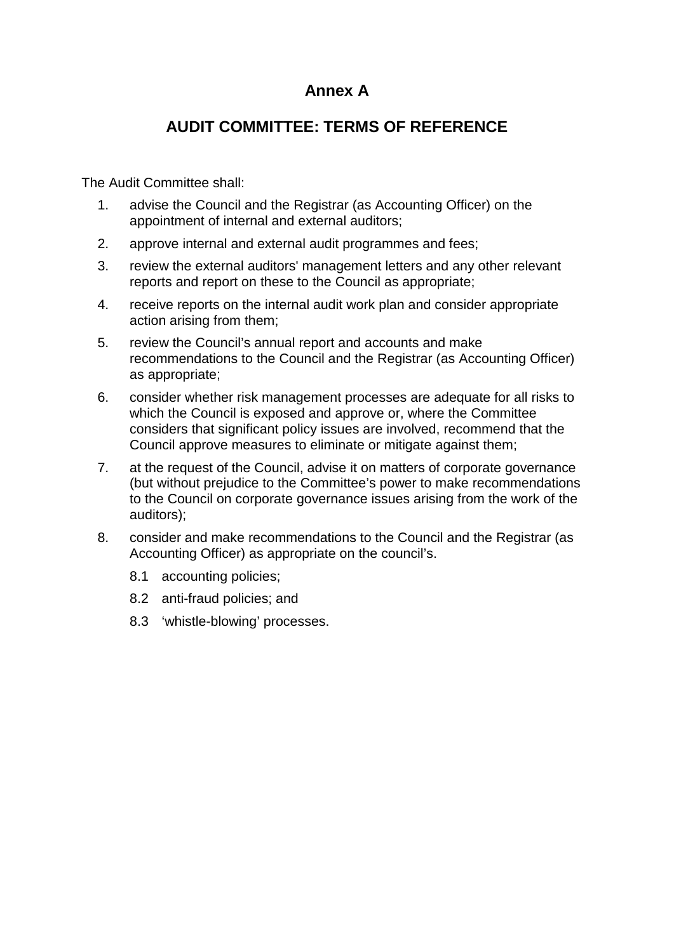# **Annex A**

# **AUDIT COMMITTEE: TERMS OF REFERENCE**

The Audit Committee shall:

- 1. advise the Council and the Registrar (as Accounting Officer) on the appointment of internal and external auditors;
- 2. approve internal and external audit programmes and fees;
- 3. review the external auditors' management letters and any other relevant reports and report on these to the Council as appropriate;
- 4. receive reports on the internal audit work plan and consider appropriate action arising from them;
- 5. review the Council's annual report and accounts and make recommendations to the Council and the Registrar (as Accounting Officer) as appropriate;
- 6. consider whether risk management processes are adequate for all risks to which the Council is exposed and approve or, where the Committee considers that significant policy issues are involved, recommend that the Council approve measures to eliminate or mitigate against them;
- 7. at the request of the Council, advise it on matters of corporate governance (but without prejudice to the Committee's power to make recommendations to the Council on corporate governance issues arising from the work of the auditors);
- 8. consider and make recommendations to the Council and the Registrar (as Accounting Officer) as appropriate on the council's.
	- 8.1 accounting policies;
	- 8.2 anti-fraud policies; and
	- 8.3 'whistle-blowing' processes.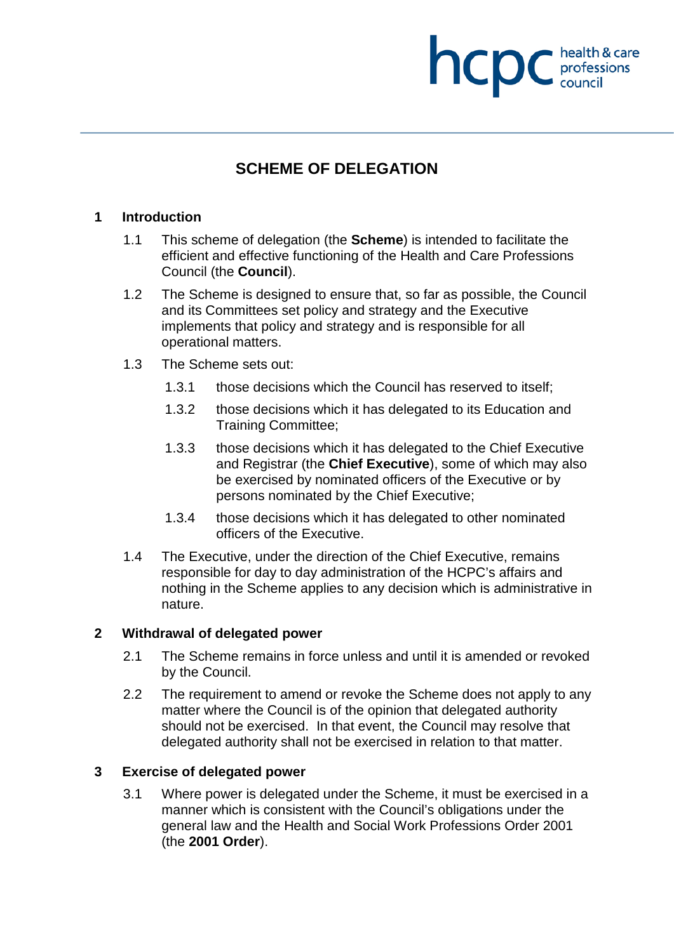# **SCHEME OF DELEGATION**

**NCDC** health & care

### **1 Introduction**

- 1.1 This scheme of delegation (the **Scheme**) is intended to facilitate the efficient and effective functioning of the Health and Care Professions Council (the **Council**).
- 1.2 The Scheme is designed to ensure that, so far as possible, the Council and its Committees set policy and strategy and the Executive implements that policy and strategy and is responsible for all operational matters.
- 1.3 The Scheme sets out:
	- 1.3.1 those decisions which the Council has reserved to itself;
	- 1.3.2 those decisions which it has delegated to its Education and Training Committee;
	- 1.3.3 those decisions which it has delegated to the Chief Executive and Registrar (the **Chief Executive**), some of which may also be exercised by nominated officers of the Executive or by persons nominated by the Chief Executive;
	- 1.3.4 those decisions which it has delegated to other nominated officers of the Executive.
- 1.4 The Executive, under the direction of the Chief Executive, remains responsible for day to day administration of the HCPC's affairs and nothing in the Scheme applies to any decision which is administrative in nature.

### **2 Withdrawal of delegated power**

- 2.1 The Scheme remains in force unless and until it is amended or revoked by the Council.
- 2.2 The requirement to amend or revoke the Scheme does not apply to any matter where the Council is of the opinion that delegated authority should not be exercised. In that event, the Council may resolve that delegated authority shall not be exercised in relation to that matter.

### **3 Exercise of delegated power**

3.1 Where power is delegated under the Scheme, it must be exercised in a manner which is consistent with the Council's obligations under the general law and the Health and Social Work Professions Order 2001 (the **2001 Order**).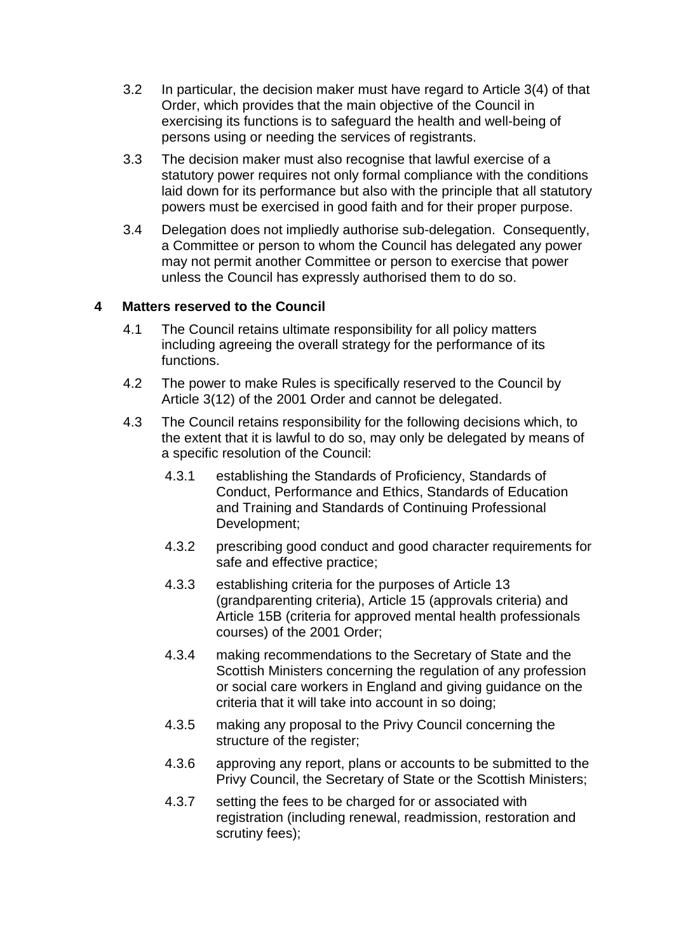- 3.2 In particular, the decision maker must have regard to Article 3(4) of that Order, which provides that the main objective of the Council in exercising its functions is to safeguard the health and well-being of persons using or needing the services of registrants.
- 3.3 The decision maker must also recognise that lawful exercise of a statutory power requires not only formal compliance with the conditions laid down for its performance but also with the principle that all statutory powers must be exercised in good faith and for their proper purpose.
- 3.4 Delegation does not impliedly authorise sub-delegation. Consequently, a Committee or person to whom the Council has delegated any power may not permit another Committee or person to exercise that power unless the Council has expressly authorised them to do so.

### **4 Matters reserved to the Council**

- 4.1 The Council retains ultimate responsibility for all policy matters including agreeing the overall strategy for the performance of its functions.
- 4.2 The power to make Rules is specifically reserved to the Council by Article 3(12) of the 2001 Order and cannot be delegated.
- 4.3 The Council retains responsibility for the following decisions which, to the extent that it is lawful to do so, may only be delegated by means of a specific resolution of the Council:
	- 4.3.1 establishing the Standards of Proficiency, Standards of Conduct, Performance and Ethics, Standards of Education and Training and Standards of Continuing Professional Development;
	- 4.3.2 prescribing good conduct and good character requirements for safe and effective practice;
	- 4.3.3 establishing criteria for the purposes of Article 13 (grandparenting criteria), Article 15 (approvals criteria) and Article 15B (criteria for approved mental health professionals courses) of the 2001 Order;
	- 4.3.4 making recommendations to the Secretary of State and the Scottish Ministers concerning the regulation of any profession or social care workers in England and giving guidance on the criteria that it will take into account in so doing;
	- 4.3.5 making any proposal to the Privy Council concerning the structure of the register;
	- 4.3.6 approving any report, plans or accounts to be submitted to the Privy Council, the Secretary of State or the Scottish Ministers;
	- 4.3.7 setting the fees to be charged for or associated with registration (including renewal, readmission, restoration and scrutiny fees);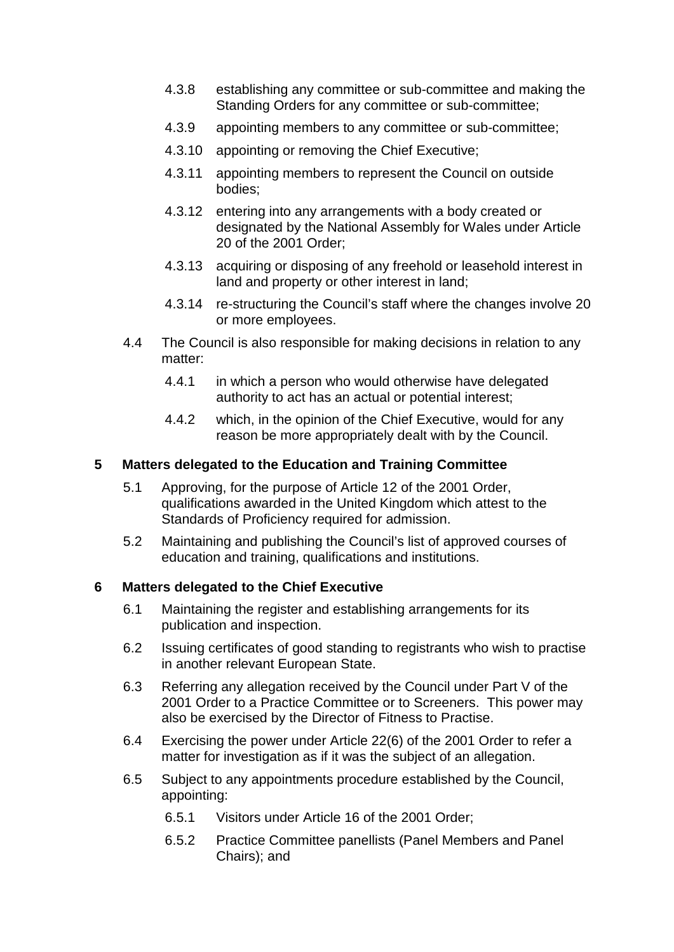- 4.3.8 establishing any committee or sub-committee and making the Standing Orders for any committee or sub-committee;
- 4.3.9 appointing members to any committee or sub-committee;
- 4.3.10 appointing or removing the Chief Executive;
- 4.3.11 appointing members to represent the Council on outside bodies;
- 4.3.12 entering into any arrangements with a body created or designated by the National Assembly for Wales under Article 20 of the 2001 Order;
- 4.3.13 acquiring or disposing of any freehold or leasehold interest in land and property or other interest in land;
- 4.3.14 re-structuring the Council's staff where the changes involve 20 or more employees.
- 4.4 The Council is also responsible for making decisions in relation to any matter:
	- 4.4.1 in which a person who would otherwise have delegated authority to act has an actual or potential interest;
	- 4.4.2 which, in the opinion of the Chief Executive, would for any reason be more appropriately dealt with by the Council.

### **5 Matters delegated to the Education and Training Committee**

- 5.1 Approving, for the purpose of Article 12 of the 2001 Order, qualifications awarded in the United Kingdom which attest to the Standards of Proficiency required for admission.
- 5.2 Maintaining and publishing the Council's list of approved courses of education and training, qualifications and institutions.

### **6 Matters delegated to the Chief Executive**

- 6.1 Maintaining the register and establishing arrangements for its publication and inspection.
- 6.2 Issuing certificates of good standing to registrants who wish to practise in another relevant European State.
- 6.3 Referring any allegation received by the Council under Part V of the 2001 Order to a Practice Committee or to Screeners. This power may also be exercised by the Director of Fitness to Practise.
- 6.4 Exercising the power under Article 22(6) of the 2001 Order to refer a matter for investigation as if it was the subject of an allegation.
- 6.5 Subject to any appointments procedure established by the Council, appointing:
	- 6.5.1 Visitors under Article 16 of the 2001 Order;
	- 6.5.2 Practice Committee panellists (Panel Members and Panel Chairs); and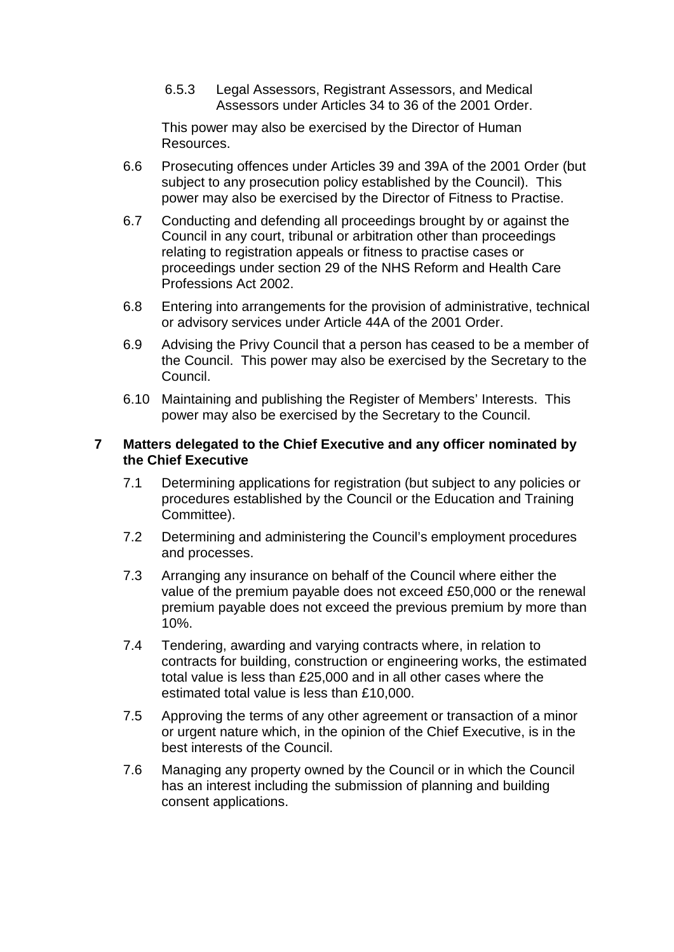6.5.3 Legal Assessors, Registrant Assessors, and Medical Assessors under Articles 34 to 36 of the 2001 Order.

This power may also be exercised by the Director of Human Resources.

- 6.6 Prosecuting offences under Articles 39 and 39A of the 2001 Order (but subject to any prosecution policy established by the Council). This power may also be exercised by the Director of Fitness to Practise.
- 6.7 Conducting and defending all proceedings brought by or against the Council in any court, tribunal or arbitration other than proceedings relating to registration appeals or fitness to practise cases or proceedings under section 29 of the NHS Reform and Health Care Professions Act 2002.
- 6.8 Entering into arrangements for the provision of administrative, technical or advisory services under Article 44A of the 2001 Order.
- 6.9 Advising the Privy Council that a person has ceased to be a member of the Council. This power may also be exercised by the Secretary to the Council.
- 6.10 Maintaining and publishing the Register of Members' Interests. This power may also be exercised by the Secretary to the Council.

### **7 Matters delegated to the Chief Executive and any officer nominated by the Chief Executive**

- 7.1 Determining applications for registration (but subject to any policies or procedures established by the Council or the Education and Training Committee).
- 7.2 Determining and administering the Council's employment procedures and processes.
- 7.3 Arranging any insurance on behalf of the Council where either the value of the premium payable does not exceed £50,000 or the renewal premium payable does not exceed the previous premium by more than 10%.
- 7.4 Tendering, awarding and varying contracts where, in relation to contracts for building, construction or engineering works, the estimated total value is less than £25,000 and in all other cases where the estimated total value is less than £10,000.
- 7.5 Approving the terms of any other agreement or transaction of a minor or urgent nature which, in the opinion of the Chief Executive, is in the best interests of the Council.
- 7.6 Managing any property owned by the Council or in which the Council has an interest including the submission of planning and building consent applications.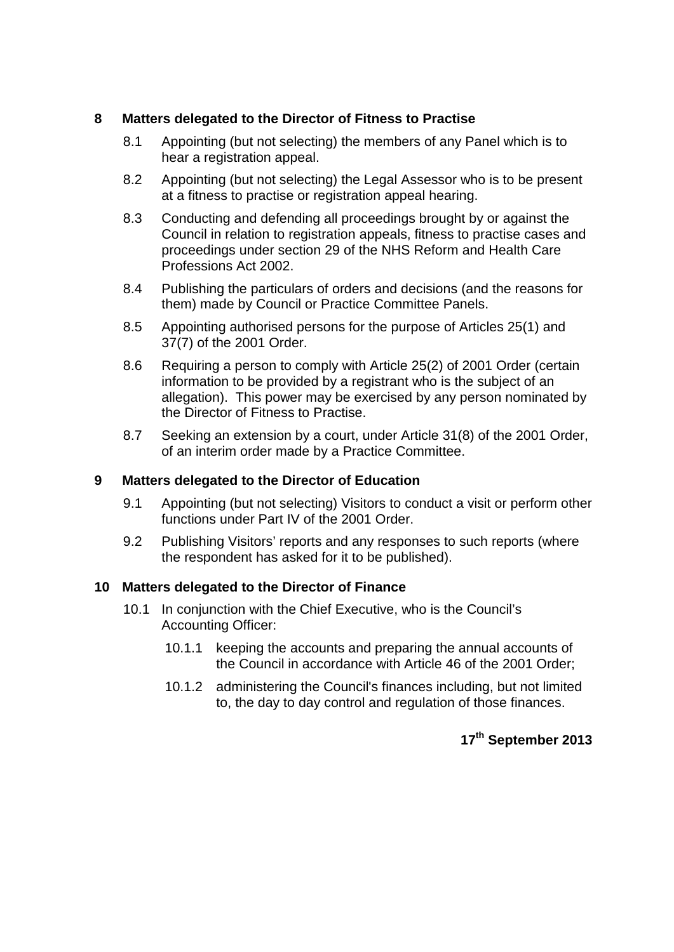### **8 Matters delegated to the Director of Fitness to Practise**

- 8.1 Appointing (but not selecting) the members of any Panel which is to hear a registration appeal.
- 8.2 Appointing (but not selecting) the Legal Assessor who is to be present at a fitness to practise or registration appeal hearing.
- 8.3 Conducting and defending all proceedings brought by or against the Council in relation to registration appeals, fitness to practise cases and proceedings under section 29 of the NHS Reform and Health Care Professions Act 2002.
- 8.4 Publishing the particulars of orders and decisions (and the reasons for them) made by Council or Practice Committee Panels.
- 8.5 Appointing authorised persons for the purpose of Articles 25(1) and 37(7) of the 2001 Order.
- 8.6 Requiring a person to comply with Article 25(2) of 2001 Order (certain information to be provided by a registrant who is the subject of an allegation). This power may be exercised by any person nominated by the Director of Fitness to Practise.
- 8.7 Seeking an extension by a court, under Article 31(8) of the 2001 Order, of an interim order made by a Practice Committee.

### **9 Matters delegated to the Director of Education**

- 9.1 Appointing (but not selecting) Visitors to conduct a visit or perform other functions under Part IV of the 2001 Order.
- 9.2 Publishing Visitors' reports and any responses to such reports (where the respondent has asked for it to be published).

### **10 Matters delegated to the Director of Finance**

- 10.1 In conjunction with the Chief Executive, who is the Council's Accounting Officer:
	- 10.1.1 keeping the accounts and preparing the annual accounts of the Council in accordance with Article 46 of the 2001 Order;
	- 10.1.2 administering the Council's finances including, but not limited to, the day to day control and regulation of those finances.

# **17th September 2013**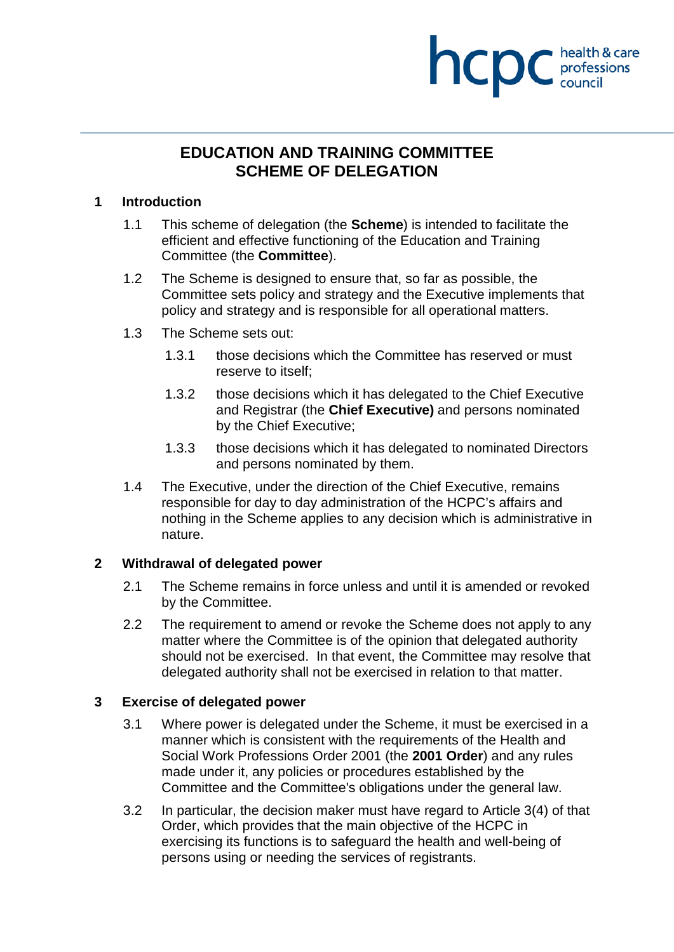# **health & care**

# **EDUCATION AND TRAINING COMMITTEE SCHEME OF DELEGATION**

### **1 Introduction**

- 1.1 This scheme of delegation (the **Scheme**) is intended to facilitate the efficient and effective functioning of the Education and Training Committee (the **Committee**).
- 1.2 The Scheme is designed to ensure that, so far as possible, the Committee sets policy and strategy and the Executive implements that policy and strategy and is responsible for all operational matters.
- 1.3 The Scheme sets out:
	- 1.3.1 those decisions which the Committee has reserved or must reserve to itself;
	- 1.3.2 those decisions which it has delegated to the Chief Executive and Registrar (the **Chief Executive)** and persons nominated by the Chief Executive;
	- 1.3.3 those decisions which it has delegated to nominated Directors and persons nominated by them.
- 1.4 The Executive, under the direction of the Chief Executive, remains responsible for day to day administration of the HCPC's affairs and nothing in the Scheme applies to any decision which is administrative in nature.

# **2 Withdrawal of delegated power**

- 2.1 The Scheme remains in force unless and until it is amended or revoked by the Committee.
- 2.2 The requirement to amend or revoke the Scheme does not apply to any matter where the Committee is of the opinion that delegated authority should not be exercised. In that event, the Committee may resolve that delegated authority shall not be exercised in relation to that matter.

# **3 Exercise of delegated power**

- 3.1 Where power is delegated under the Scheme, it must be exercised in a manner which is consistent with the requirements of the Health and Social Work Professions Order 2001 (the **2001 Order**) and any rules made under it, any policies or procedures established by the Committee and the Committee's obligations under the general law.
- 3.2 In particular, the decision maker must have regard to Article 3(4) of that Order, which provides that the main objective of the HCPC in exercising its functions is to safeguard the health and well-being of persons using or needing the services of registrants.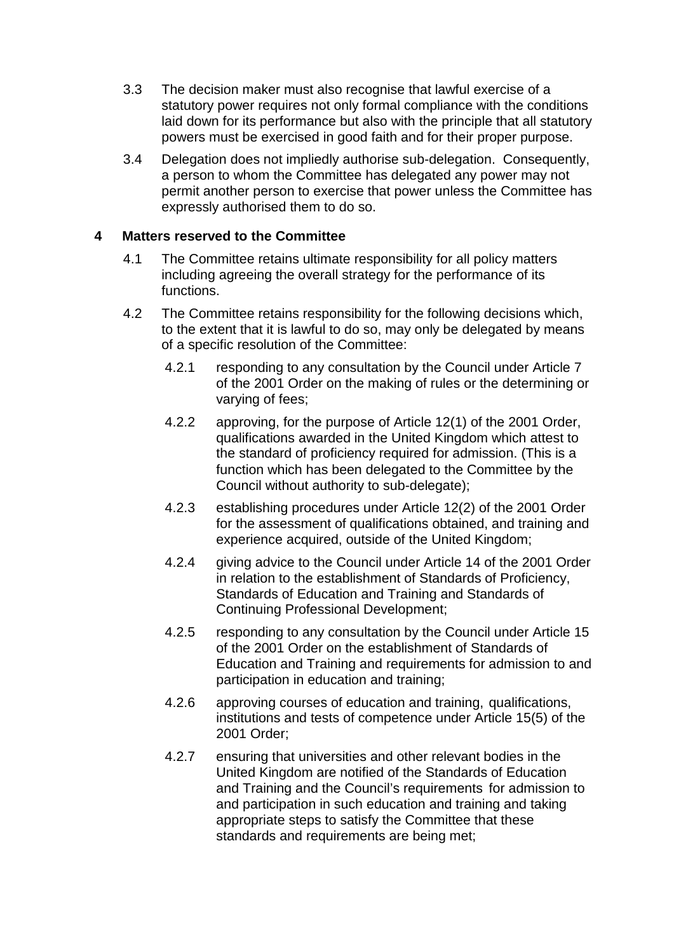- 3.3 The decision maker must also recognise that lawful exercise of a statutory power requires not only formal compliance with the conditions laid down for its performance but also with the principle that all statutory powers must be exercised in good faith and for their proper purpose.
- 3.4 Delegation does not impliedly authorise sub-delegation. Consequently, a person to whom the Committee has delegated any power may not permit another person to exercise that power unless the Committee has expressly authorised them to do so.

### **4 Matters reserved to the Committee**

- 4.1 The Committee retains ultimate responsibility for all policy matters including agreeing the overall strategy for the performance of its functions.
- 4.2 The Committee retains responsibility for the following decisions which, to the extent that it is lawful to do so, may only be delegated by means of a specific resolution of the Committee:
	- 4.2.1 responding to any consultation by the Council under Article 7 of the 2001 Order on the making of rules or the determining or varying of fees;
	- 4.2.2 approving, for the purpose of Article 12(1) of the 2001 Order, qualifications awarded in the United Kingdom which attest to the standard of proficiency required for admission. (This is a function which has been delegated to the Committee by the Council without authority to sub-delegate);
	- 4.2.3 establishing procedures under Article 12(2) of the 2001 Order for the assessment of qualifications obtained, and training and experience acquired, outside of the United Kingdom;
	- 4.2.4 giving advice to the Council under Article 14 of the 2001 Order in relation to the establishment of Standards of Proficiency, Standards of Education and Training and Standards of Continuing Professional Development;
	- 4.2.5 responding to any consultation by the Council under Article 15 of the 2001 Order on the establishment of Standards of Education and Training and requirements for admission to and participation in education and training;
	- 4.2.6 approving courses of education and training, qualifications, institutions and tests of competence under Article 15(5) of the 2001 Order;
	- 4.2.7 ensuring that universities and other relevant bodies in the United Kingdom are notified of the Standards of Education and Training and the Council's requirements for admission to and participation in such education and training and taking appropriate steps to satisfy the Committee that these standards and requirements are being met;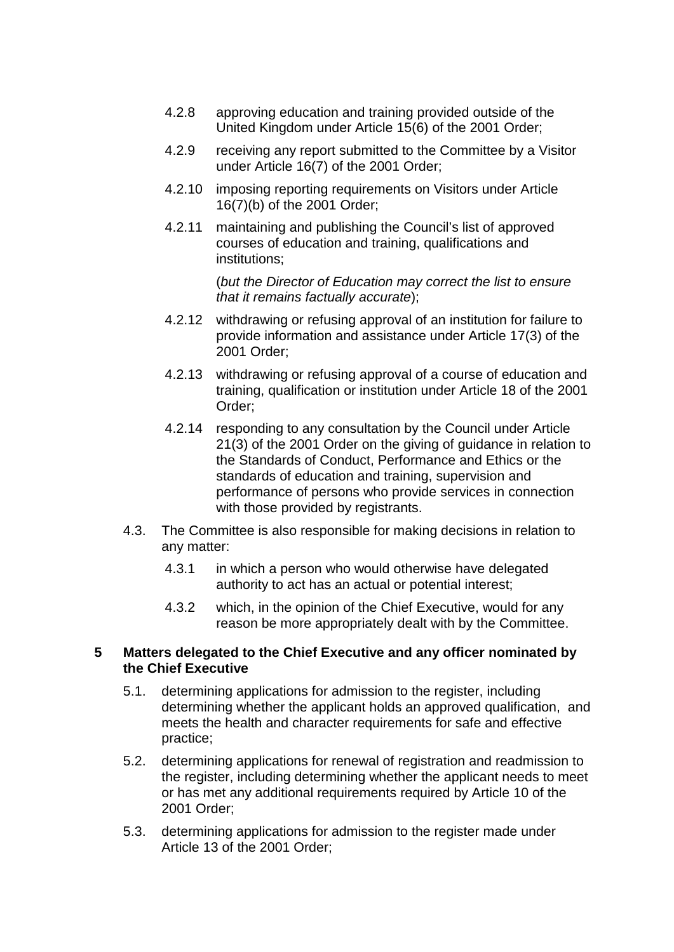- 4.2.8 approving education and training provided outside of the United Kingdom under Article 15(6) of the 2001 Order;
- 4.2.9 receiving any report submitted to the Committee by a Visitor under Article 16(7) of the 2001 Order;
- 4.2.10 imposing reporting requirements on Visitors under Article 16(7)(b) of the 2001 Order;
- 4.2.11 maintaining and publishing the Council's list of approved courses of education and training, qualifications and institutions;

(*but the Director of Education may correct the list to ensure that it remains factually accurate*);

- 4.2.12 withdrawing or refusing approval of an institution for failure to provide information and assistance under Article 17(3) of the 2001 Order;
- 4.2.13 withdrawing or refusing approval of a course of education and training, qualification or institution under Article 18 of the 2001 Order;
- 4.2.14 responding to any consultation by the Council under Article 21(3) of the 2001 Order on the giving of guidance in relation to the Standards of Conduct, Performance and Ethics or the standards of education and training, supervision and performance of persons who provide services in connection with those provided by registrants.
- 4.3. The Committee is also responsible for making decisions in relation to any matter:
	- 4.3.1 in which a person who would otherwise have delegated authority to act has an actual or potential interest;
	- 4.3.2 which, in the opinion of the Chief Executive, would for any reason be more appropriately dealt with by the Committee.

### **5 Matters delegated to the Chief Executive and any officer nominated by the Chief Executive**

- 5.1. determining applications for admission to the register, including determining whether the applicant holds an approved qualification, and meets the health and character requirements for safe and effective practice;
- 5.2. determining applications for renewal of registration and readmission to the register, including determining whether the applicant needs to meet or has met any additional requirements required by Article 10 of the 2001 Order;
- 5.3. determining applications for admission to the register made under Article 13 of the 2001 Order;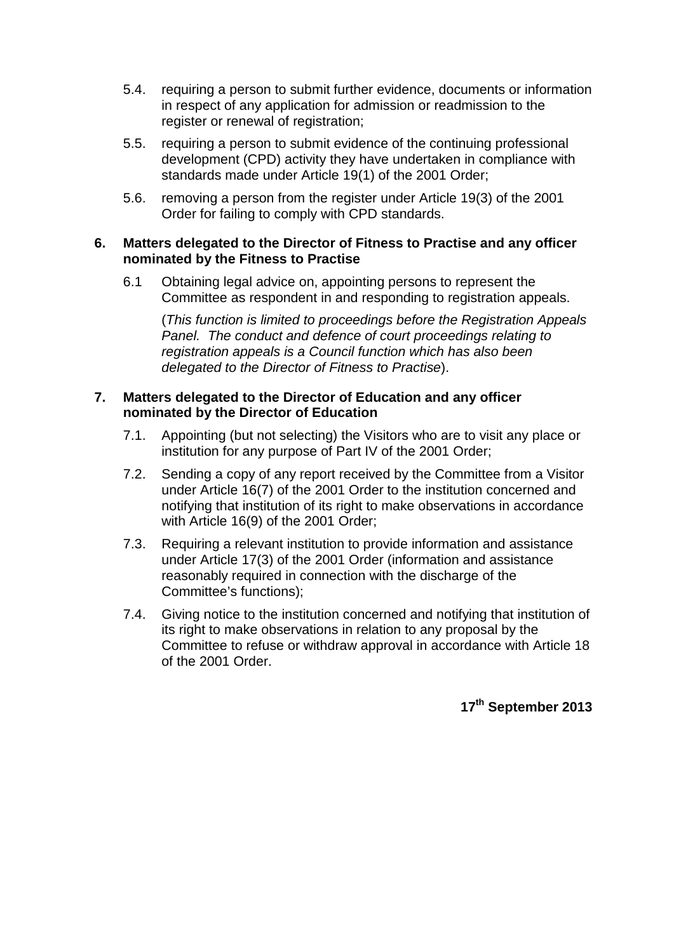- 5.4. requiring a person to submit further evidence, documents or information in respect of any application for admission or readmission to the register or renewal of registration:
- 5.5. requiring a person to submit evidence of the continuing professional development (CPD) activity they have undertaken in compliance with standards made under Article 19(1) of the 2001 Order;
- 5.6. removing a person from the register under Article 19(3) of the 2001 Order for failing to comply with CPD standards.

### **6. Matters delegated to the Director of Fitness to Practise and any officer nominated by the Fitness to Practise**

6.1 Obtaining legal advice on, appointing persons to represent the Committee as respondent in and responding to registration appeals.

(*This function is limited to proceedings before the Registration Appeals Panel. The conduct and defence of court proceedings relating to registration appeals is a Council function which has also been delegated to the Director of Fitness to Practise*).

### **7. Matters delegated to the Director of Education and any officer nominated by the Director of Education**

- 7.1. Appointing (but not selecting) the Visitors who are to visit any place or institution for any purpose of Part IV of the 2001 Order;
- 7.2. Sending a copy of any report received by the Committee from a Visitor under Article 16(7) of the 2001 Order to the institution concerned and notifying that institution of its right to make observations in accordance with Article 16(9) of the 2001 Order;
- 7.3. Requiring a relevant institution to provide information and assistance under Article 17(3) of the 2001 Order (information and assistance reasonably required in connection with the discharge of the Committee's functions);
- 7.4. Giving notice to the institution concerned and notifying that institution of its right to make observations in relation to any proposal by the Committee to refuse or withdraw approval in accordance with Article 18 of the 2001 Order.

**17th September 2013**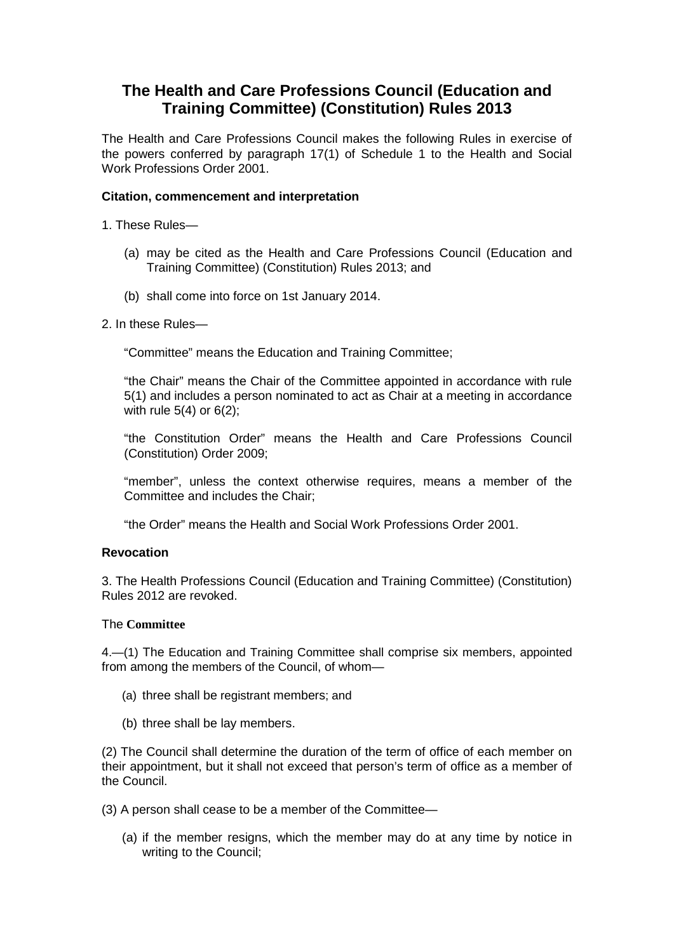# **The Health and Care Professions Council (Education and Training Committee) (Constitution) Rules 2013**

The Health and Care Professions Council makes the following Rules in exercise of the powers conferred by paragraph 17(1) of Schedule 1 to the Health and Social Work Professions Order 2001.

### **Citation, commencement and interpretation**

1. These Rules—

- (a) may be cited as the Health and Care Professions Council (Education and Training Committee) (Constitution) Rules 2013; and
- (b) shall come into force on 1st January 2014.
- 2. In these Rules—

"Committee" means the Education and Training Committee;

"the Chair" means the Chair of the Committee appointed in accordance with rule 5(1) and includes a person nominated to act as Chair at a meeting in accordance with rule  $5(4)$  or  $6(2)$ ;

"the Constitution Order" means the Health and Care Professions Council (Constitution) Order 2009;

"member", unless the context otherwise requires, means a member of the Committee and includes the Chair;

"the Order" means the Health and Social Work Professions Order 2001.

### **Revocation**

3. The Health Professions Council (Education and Training Committee) (Constitution) Rules 2012 are revoked.

### The **Committee**

4.—(1) The Education and Training Committee shall comprise six members, appointed from among the members of the Council, of whom—

- (a) three shall be registrant members; and
- (b) three shall be lay members.

(2) The Council shall determine the duration of the term of office of each member on their appointment, but it shall not exceed that person's term of office as a member of the Council.

(3) A person shall cease to be a member of the Committee—

(a) if the member resigns, which the member may do at any time by notice in writing to the Council;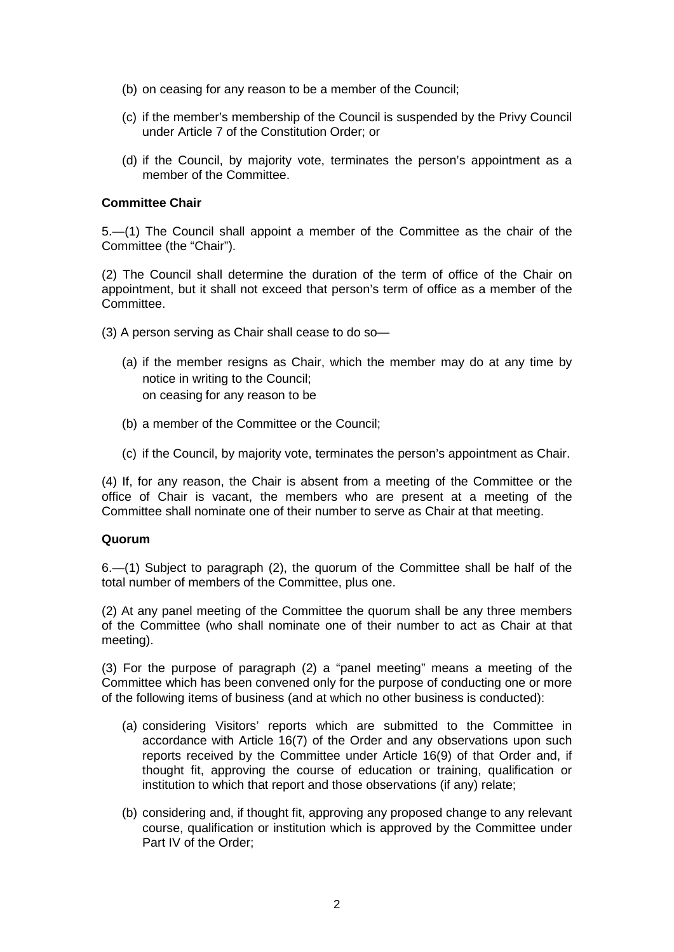- (b) on ceasing for any reason to be a member of the Council;
- (c) if the member's membership of the Council is suspended by the Privy Council under Article 7 of the Constitution Order; or
- (d) if the Council, by majority vote, terminates the person's appointment as a member of the Committee.

### **Committee Chair**

5.—(1) The Council shall appoint a member of the Committee as the chair of the Committee (the "Chair").

(2) The Council shall determine the duration of the term of office of the Chair on appointment, but it shall not exceed that person's term of office as a member of the Committee.

(3) A person serving as Chair shall cease to do so—

- (a) if the member resigns as Chair, which the member may do at any time by notice in writing to the Council; on ceasing for any reason to be
- (b) a member of the Committee or the Council;
- (c) if the Council, by majority vote, terminates the person's appointment as Chair.

(4) If, for any reason, the Chair is absent from a meeting of the Committee or the office of Chair is vacant, the members who are present at a meeting of the Committee shall nominate one of their number to serve as Chair at that meeting.

### **Quorum**

6.—(1) Subject to paragraph (2), the quorum of the Committee shall be half of the total number of members of the Committee, plus one.

(2) At any panel meeting of the Committee the quorum shall be any three members of the Committee (who shall nominate one of their number to act as Chair at that meeting).

(3) For the purpose of paragraph (2) a "panel meeting" means a meeting of the Committee which has been convened only for the purpose of conducting one or more of the following items of business (and at which no other business is conducted):

- (a) considering Visitors' reports which are submitted to the Committee in accordance with Article 16(7) of the Order and any observations upon such reports received by the Committee under Article 16(9) of that Order and, if thought fit, approving the course of education or training, qualification or institution to which that report and those observations (if any) relate;
- (b) considering and, if thought fit, approving any proposed change to any relevant course, qualification or institution which is approved by the Committee under Part IV of the Order;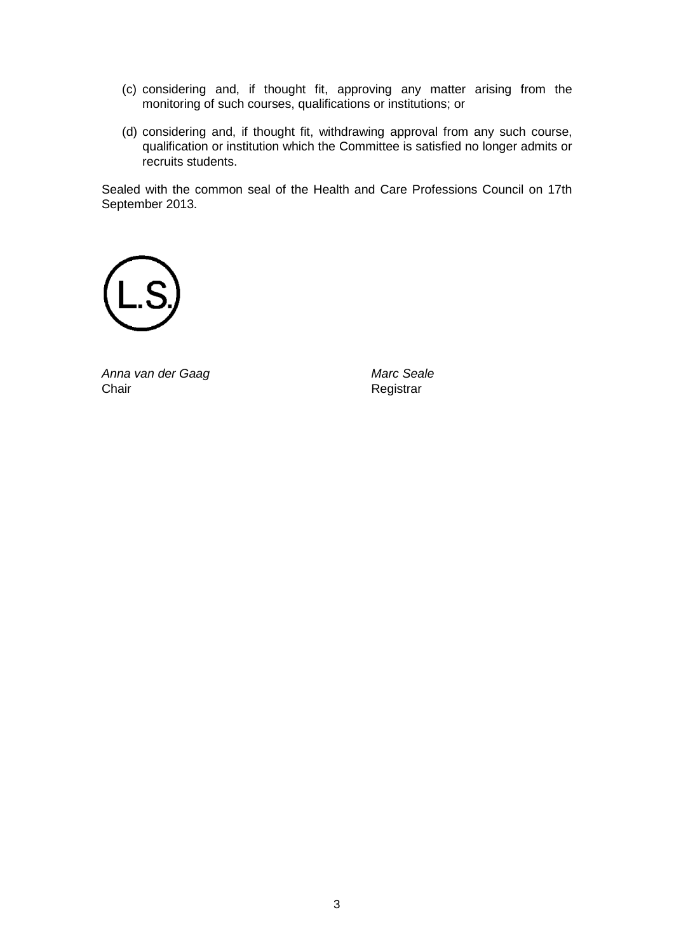- (c) considering and, if thought fit, approving any matter arising from the monitoring of such courses, qualifications or institutions; or
- (d) considering and, if thought fit, withdrawing approval from any such course, qualification or institution which the Committee is satisfied no longer admits or recruits students.

Sealed with the common seal of the Health and Care Professions Council on 17th September 2013.



*Anna van der Gaag Marc Seale*

Registrar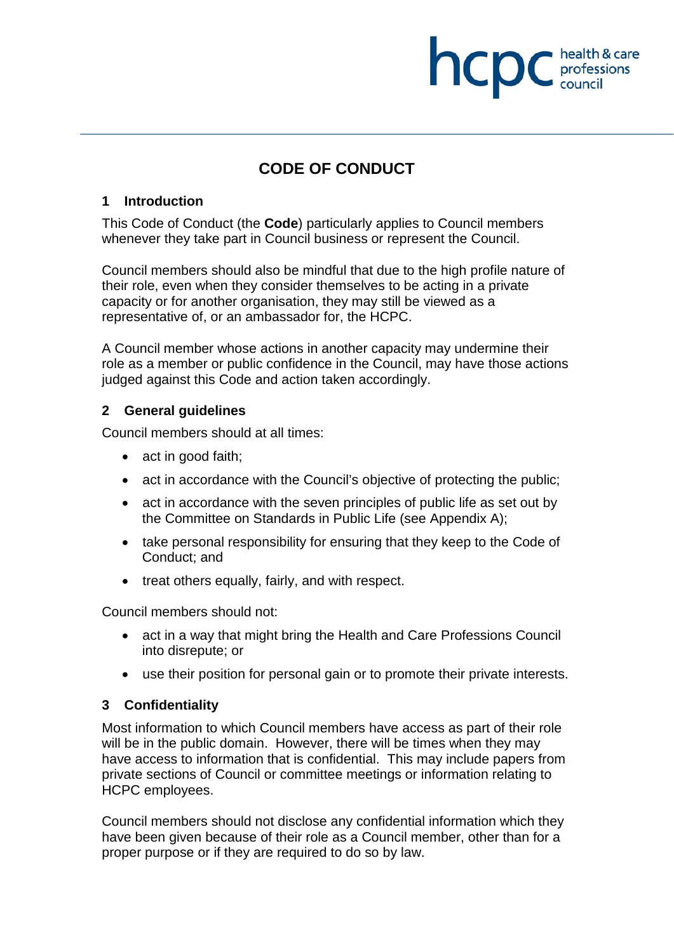# health & care **INCDC** chealth & card

# **CODE OF CONDUCT**

### **1 Introduction**

This Code of Conduct (the **Code**) particularly applies to Council members whenever they take part in Council business or represent the Council.

Council members should also be mindful that due to the high profile nature of their role, even when they consider themselves to be acting in a private capacity or for another organisation, they may still be viewed as a representative of, or an ambassador for, the HCPC.

A Council member whose actions in another capacity may undermine their role as a member or public confidence in the Council, may have those actions judged against this Code and action taken accordingly.

### **2 General guidelines**

Council members should at all times:

- act in good faith;
- act in accordance with the Council's objective of protecting the public;
- act in accordance with the seven principles of public life as set out by the Committee on Standards in Public Life (see Appendix A);
- take personal responsibility for ensuring that they keep to the Code of Conduct; and
- treat others equally, fairly, and with respect.

Council members should not:

- act in a way that might bring the Health and Care Professions Council into disrepute; or
- use their position for personal gain or to promote their private interests.

### **3 Confidentiality**

Most information to which Council members have access as part of their role will be in the public domain. However, there will be times when they may have access to information that is confidential. This may include papers from private sections of Council or committee meetings or information relating to HCPC employees.

Council members should not disclose any confidential information which they have been given because of their role as a Council member, other than for a proper purpose or if they are required to do so by law.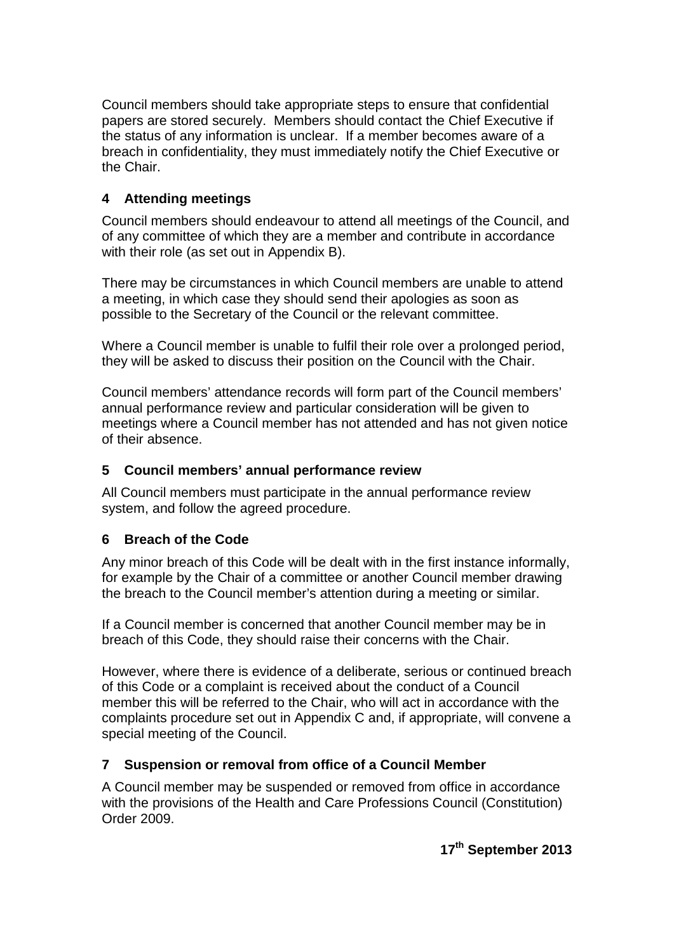Council members should take appropriate steps to ensure that confidential papers are stored securely. Members should contact the Chief Executive if the status of any information is unclear. If a member becomes aware of a breach in confidentiality, they must immediately notify the Chief Executive or the Chair.

### **4 Attending meetings**

Council members should endeavour to attend all meetings of the Council, and of any committee of which they are a member and contribute in accordance with their role (as set out in Appendix B).

There may be circumstances in which Council members are unable to attend a meeting, in which case they should send their apologies as soon as possible to the Secretary of the Council or the relevant committee.

Where a Council member is unable to fulfil their role over a prolonged period, they will be asked to discuss their position on the Council with the Chair.

Council members' attendance records will form part of the Council members' annual performance review and particular consideration will be given to meetings where a Council member has not attended and has not given notice of their absence.

### **5 Council members' annual performance review**

All Council members must participate in the annual performance review system, and follow the agreed procedure.

### **6 Breach of the Code**

Any minor breach of this Code will be dealt with in the first instance informally, for example by the Chair of a committee or another Council member drawing the breach to the Council member's attention during a meeting or similar.

If a Council member is concerned that another Council member may be in breach of this Code, they should raise their concerns with the Chair.

However, where there is evidence of a deliberate, serious or continued breach of this Code or a complaint is received about the conduct of a Council member this will be referred to the Chair, who will act in accordance with the complaints procedure set out in Appendix C and, if appropriate, will convene a special meeting of the Council.

### **7 Suspension or removal from office of a Council Member**

A Council member may be suspended or removed from office in accordance with the provisions of the Health and Care Professions Council (Constitution) Order 2009.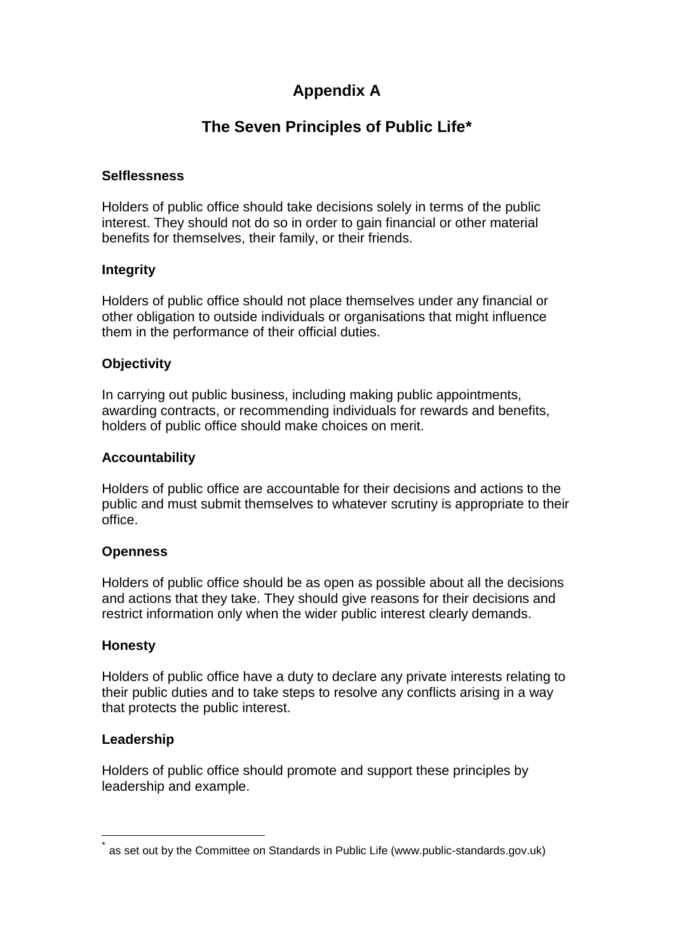# **Appendix A**

# **The Seven Principles of Public Life\***

### **Selflessness**

Holders of public office should take decisions solely in terms of the public interest. They should not do so in order to gain financial or other material benefits for themselves, their family, or their friends.

### **Integrity**

Holders of public office should not place themselves under any financial or other obligation to outside individuals or organisations that might influence them in the performance of their official duties.

### **Objectivity**

In carrying out public business, including making public appointments, awarding contracts, or recommending individuals for rewards and benefits, holders of public office should make choices on merit.

### **Accountability**

Holders of public office are accountable for their decisions and actions to the public and must submit themselves to whatever scrutiny is appropriate to their office.

### **Openness**

Holders of public office should be as open as possible about all the decisions and actions that they take. They should give reasons for their decisions and restrict information only when the wider public interest clearly demands.

### **Honesty**

Holders of public office have a duty to declare any private interests relating to their public duties and to take steps to resolve any conflicts arising in a way that protects the public interest.

### **Leadership**

Holders of public office should promote and support these principles by leadership and example.

as set out by the Committee on Standards in Public Life (www.public-standards.gov.uk)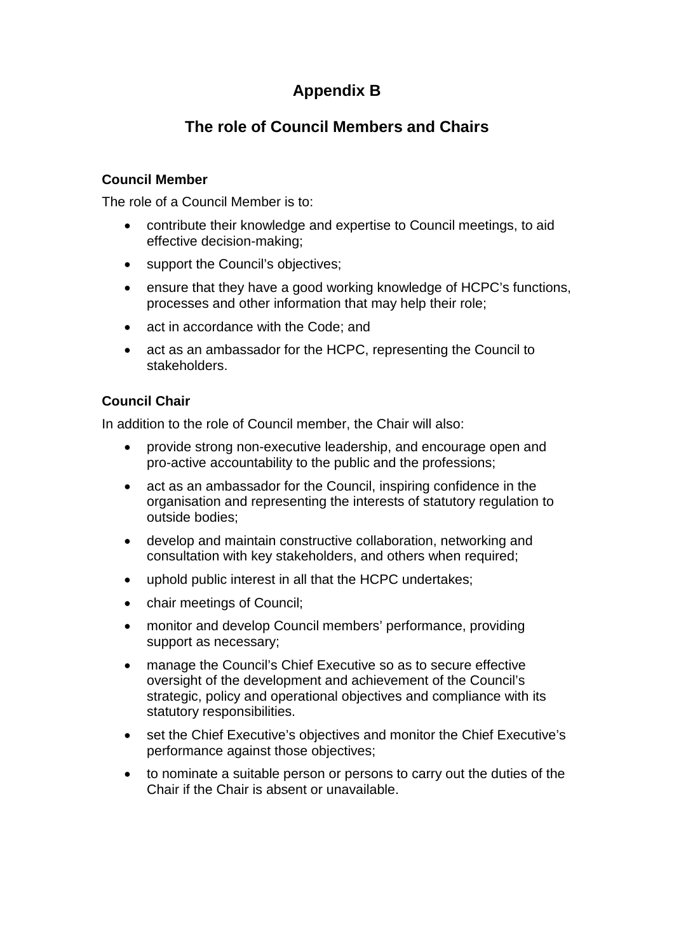# **Appendix B**

# **The role of Council Members and Chairs**

### **Council Member**

The role of a Council Member is to:

- contribute their knowledge and expertise to Council meetings, to aid effective decision-making;
- support the Council's objectives:
- ensure that they have a good working knowledge of HCPC's functions, processes and other information that may help their role;
- act in accordance with the Code; and
- act as an ambassador for the HCPC, representing the Council to stakeholders.

### **Council Chair**

In addition to the role of Council member, the Chair will also:

- provide strong non-executive leadership, and encourage open and pro-active accountability to the public and the professions;
- act as an ambassador for the Council, inspiring confidence in the organisation and representing the interests of statutory regulation to outside bodies;
- develop and maintain constructive collaboration, networking and consultation with key stakeholders, and others when required;
- uphold public interest in all that the HCPC undertakes;
- chair meetings of Council;
- monitor and develop Council members' performance, providing support as necessary;
- manage the Council's Chief Executive so as to secure effective oversight of the development and achievement of the Council's strategic, policy and operational objectives and compliance with its statutory responsibilities.
- set the Chief Executive's objectives and monitor the Chief Executive's performance against those objectives;
- to nominate a suitable person or persons to carry out the duties of the Chair if the Chair is absent or unavailable.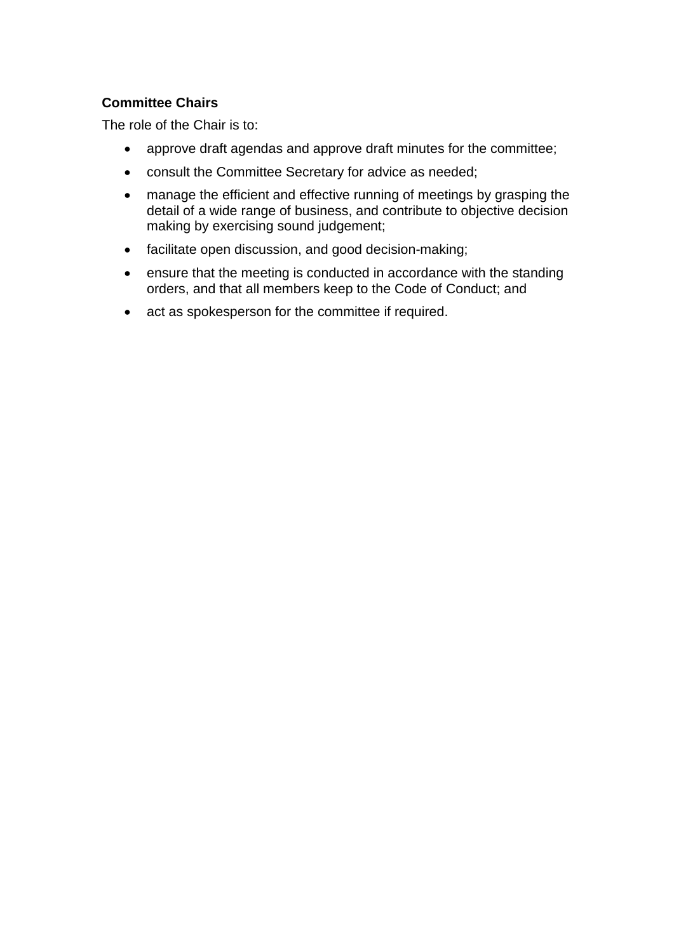### **Committee Chairs**

The role of the Chair is to:

- approve draft agendas and approve draft minutes for the committee;
- consult the Committee Secretary for advice as needed;
- manage the efficient and effective running of meetings by grasping the detail of a wide range of business, and contribute to objective decision making by exercising sound judgement;
- facilitate open discussion, and good decision-making;
- ensure that the meeting is conducted in accordance with the standing orders, and that all members keep to the Code of Conduct; and
- act as spokesperson for the committee if required.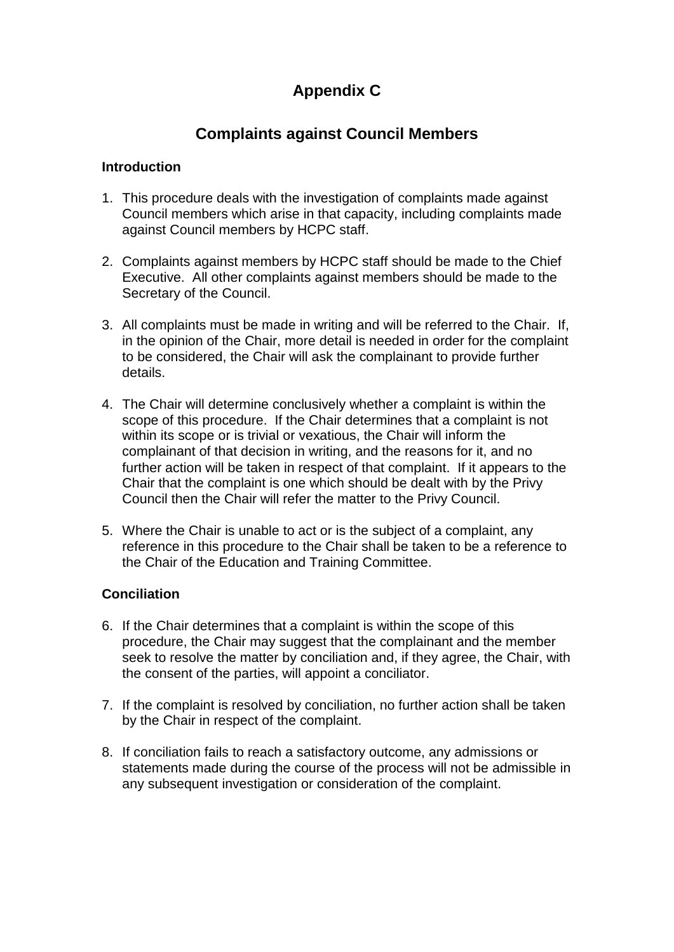# **Appendix C**

# **Complaints against Council Members**

### **Introduction**

- 1. This procedure deals with the investigation of complaints made against Council members which arise in that capacity, including complaints made against Council members by HCPC staff.
- 2. Complaints against members by HCPC staff should be made to the Chief Executive. All other complaints against members should be made to the Secretary of the Council.
- 3. All complaints must be made in writing and will be referred to the Chair. If, in the opinion of the Chair, more detail is needed in order for the complaint to be considered, the Chair will ask the complainant to provide further details.
- 4. The Chair will determine conclusively whether a complaint is within the scope of this procedure. If the Chair determines that a complaint is not within its scope or is trivial or vexatious, the Chair will inform the complainant of that decision in writing, and the reasons for it, and no further action will be taken in respect of that complaint. If it appears to the Chair that the complaint is one which should be dealt with by the Privy Council then the Chair will refer the matter to the Privy Council.
- 5. Where the Chair is unable to act or is the subject of a complaint, any reference in this procedure to the Chair shall be taken to be a reference to the Chair of the Education and Training Committee.

### **Conciliation**

- 6. If the Chair determines that a complaint is within the scope of this procedure, the Chair may suggest that the complainant and the member seek to resolve the matter by conciliation and, if they agree, the Chair, with the consent of the parties, will appoint a conciliator.
- 7. If the complaint is resolved by conciliation, no further action shall be taken by the Chair in respect of the complaint.
- 8. If conciliation fails to reach a satisfactory outcome, any admissions or statements made during the course of the process will not be admissible in any subsequent investigation or consideration of the complaint.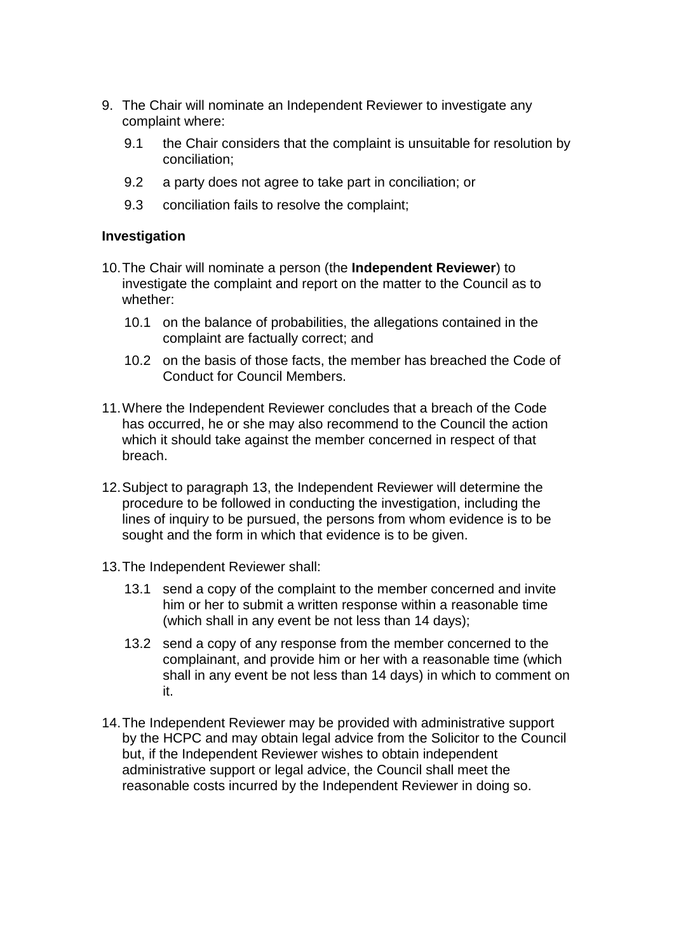- 9. The Chair will nominate an Independent Reviewer to investigate any complaint where:
	- 9.1 the Chair considers that the complaint is unsuitable for resolution by conciliation;
	- 9.2 a party does not agree to take part in conciliation; or
	- 9.3 conciliation fails to resolve the complaint;

### **Investigation**

- 10.The Chair will nominate a person (the **Independent Reviewer**) to investigate the complaint and report on the matter to the Council as to whether:
	- 10.1 on the balance of probabilities, the allegations contained in the complaint are factually correct; and
	- 10.2 on the basis of those facts, the member has breached the Code of Conduct for Council Members.
- 11.Where the Independent Reviewer concludes that a breach of the Code has occurred, he or she may also recommend to the Council the action which it should take against the member concerned in respect of that breach.
- 12.Subject to paragraph 13, the Independent Reviewer will determine the procedure to be followed in conducting the investigation, including the lines of inquiry to be pursued, the persons from whom evidence is to be sought and the form in which that evidence is to be given.
- 13.The Independent Reviewer shall:
	- 13.1 send a copy of the complaint to the member concerned and invite him or her to submit a written response within a reasonable time (which shall in any event be not less than 14 days);
	- 13.2 send a copy of any response from the member concerned to the complainant, and provide him or her with a reasonable time (which shall in any event be not less than 14 days) in which to comment on it.
- 14.The Independent Reviewer may be provided with administrative support by the HCPC and may obtain legal advice from the Solicitor to the Council but, if the Independent Reviewer wishes to obtain independent administrative support or legal advice, the Council shall meet the reasonable costs incurred by the Independent Reviewer in doing so.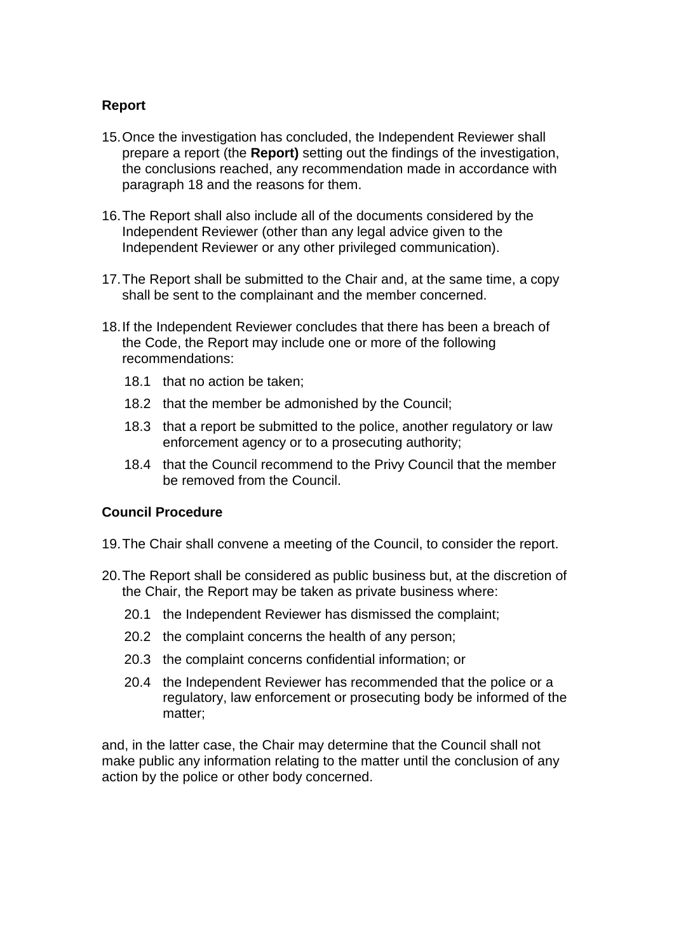### **Report**

- 15.Once the investigation has concluded, the Independent Reviewer shall prepare a report (the **Report)** setting out the findings of the investigation, the conclusions reached, any recommendation made in accordance with paragraph 18 and the reasons for them.
- 16.The Report shall also include all of the documents considered by the Independent Reviewer (other than any legal advice given to the Independent Reviewer or any other privileged communication).
- 17.The Report shall be submitted to the Chair and, at the same time, a copy shall be sent to the complainant and the member concerned.
- 18.If the Independent Reviewer concludes that there has been a breach of the Code, the Report may include one or more of the following recommendations:
	- 18.1 that no action be taken;
	- 18.2 that the member be admonished by the Council;
	- 18.3 that a report be submitted to the police, another regulatory or law enforcement agency or to a prosecuting authority;
	- 18.4 that the Council recommend to the Privy Council that the member be removed from the Council.

### **Council Procedure**

- 19.The Chair shall convene a meeting of the Council, to consider the report.
- 20.The Report shall be considered as public business but, at the discretion of the Chair, the Report may be taken as private business where:
	- 20.1 the Independent Reviewer has dismissed the complaint;
	- 20.2 the complaint concerns the health of any person;
	- 20.3 the complaint concerns confidential information; or
	- 20.4 the Independent Reviewer has recommended that the police or a regulatory, law enforcement or prosecuting body be informed of the matter;

and, in the latter case, the Chair may determine that the Council shall not make public any information relating to the matter until the conclusion of any action by the police or other body concerned.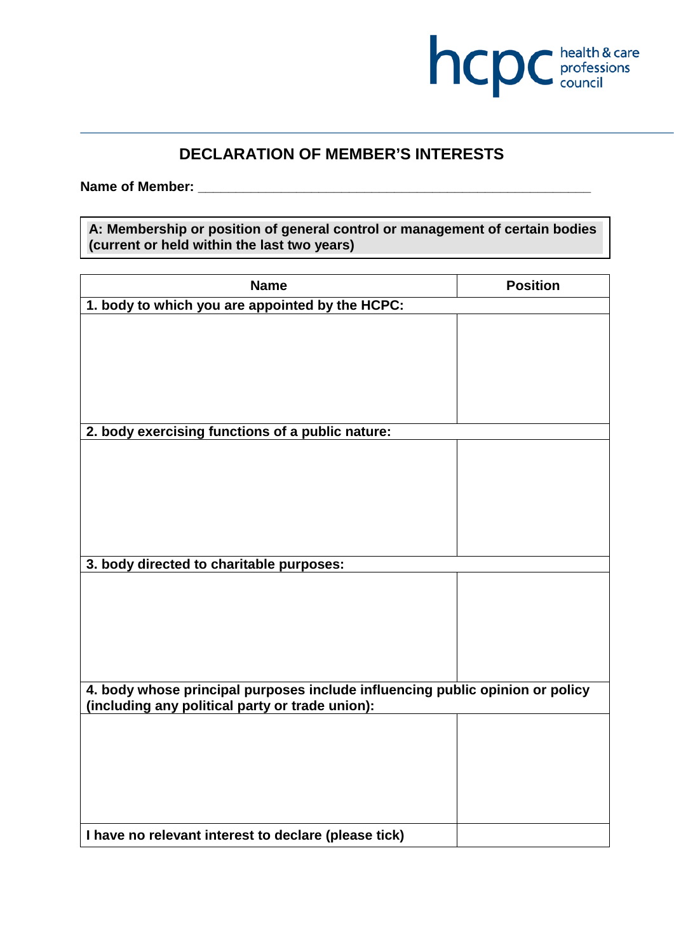

# **DECLARATION OF MEMBER'S INTERESTS**

Name of Member:

**A: Membership or position of general control or management of certain bodies (current or held within the last two years)**

| <b>Name</b>                                                                   | <b>Position</b> |  |
|-------------------------------------------------------------------------------|-----------------|--|
| 1. body to which you are appointed by the HCPC:                               |                 |  |
|                                                                               |                 |  |
|                                                                               |                 |  |
|                                                                               |                 |  |
|                                                                               |                 |  |
|                                                                               |                 |  |
|                                                                               |                 |  |
| 2. body exercising functions of a public nature:                              |                 |  |
|                                                                               |                 |  |
|                                                                               |                 |  |
|                                                                               |                 |  |
|                                                                               |                 |  |
|                                                                               |                 |  |
|                                                                               |                 |  |
| 3. body directed to charitable purposes:                                      |                 |  |
|                                                                               |                 |  |
|                                                                               |                 |  |
|                                                                               |                 |  |
|                                                                               |                 |  |
|                                                                               |                 |  |
|                                                                               |                 |  |
| 4. body whose principal purposes include influencing public opinion or policy |                 |  |
| (including any political party or trade union):                               |                 |  |
|                                                                               |                 |  |
|                                                                               |                 |  |
|                                                                               |                 |  |
|                                                                               |                 |  |
|                                                                               |                 |  |
|                                                                               |                 |  |
| I have no relevant interest to declare (please tick)                          |                 |  |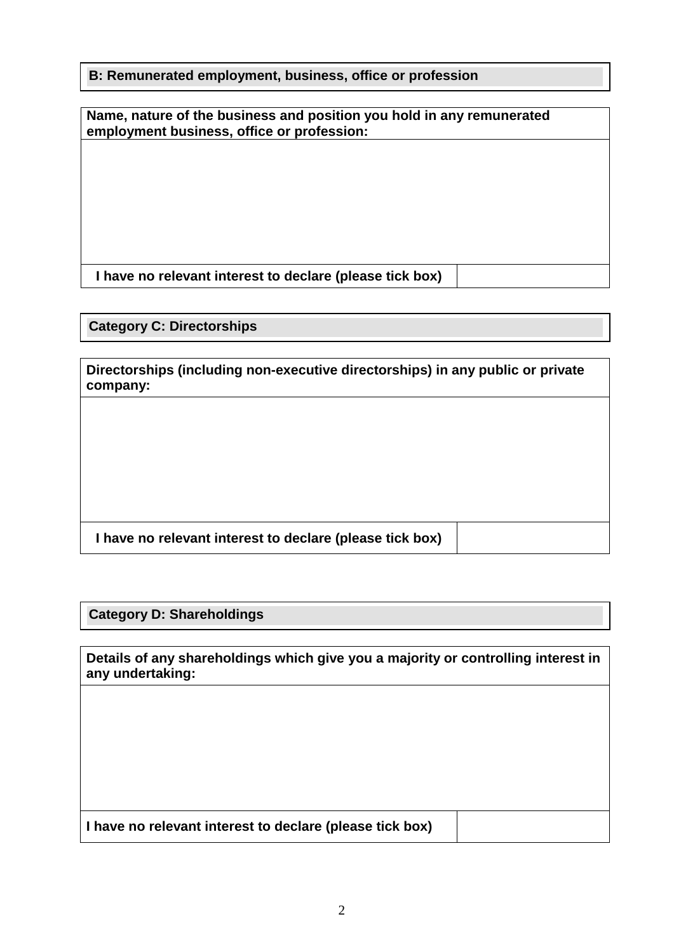**B: Remunerated employment, business, office or profession**

| Name, nature of the business and position you hold in any remunerated<br>employment business, office or profession: |  |  |
|---------------------------------------------------------------------------------------------------------------------|--|--|
|                                                                                                                     |  |  |
|                                                                                                                     |  |  |
|                                                                                                                     |  |  |
|                                                                                                                     |  |  |
|                                                                                                                     |  |  |
|                                                                                                                     |  |  |
|                                                                                                                     |  |  |
|                                                                                                                     |  |  |
|                                                                                                                     |  |  |
|                                                                                                                     |  |  |

**I have no relevant interest to declare (please tick box)**

**Category C: Directorships**

**Directorships (including non-executive directorships) in any public or private company:**

**I have no relevant interest to declare (please tick box)**

**Category D: Shareholdings**

**Details of any shareholdings which give you a majority or controlling interest in any undertaking:**

**I have no relevant interest to declare (please tick box)**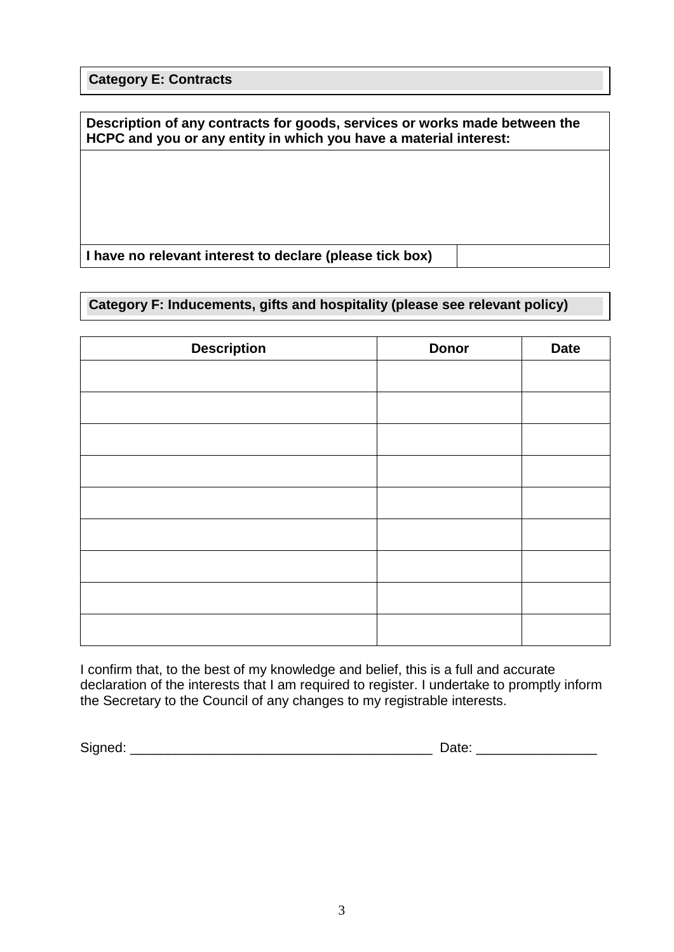**Category E: Contracts**

**Description of any contracts for goods, services or works made between the HCPC and you or any entity in which you have a material interest:**

**I have no relevant interest to declare (please tick box)**

### **Category F: Inducements, gifts and hospitality (please see relevant policy)**

| <b>Description</b> | <b>Donor</b> | <b>Date</b> |
|--------------------|--------------|-------------|
|                    |              |             |
|                    |              |             |
|                    |              |             |
|                    |              |             |
|                    |              |             |
|                    |              |             |
|                    |              |             |
|                    |              |             |
|                    |              |             |
|                    |              |             |

I confirm that, to the best of my knowledge and belief, this is a full and accurate declaration of the interests that I am required to register. I undertake to promptly inform the Secretary to the Council of any changes to my registrable interests.

Signed: \_\_\_\_\_\_\_\_\_\_\_\_\_\_\_\_\_\_\_\_\_\_\_\_\_\_\_\_\_\_\_\_\_\_\_\_\_\_\_\_ Date: \_\_\_\_\_\_\_\_\_\_\_\_\_\_\_\_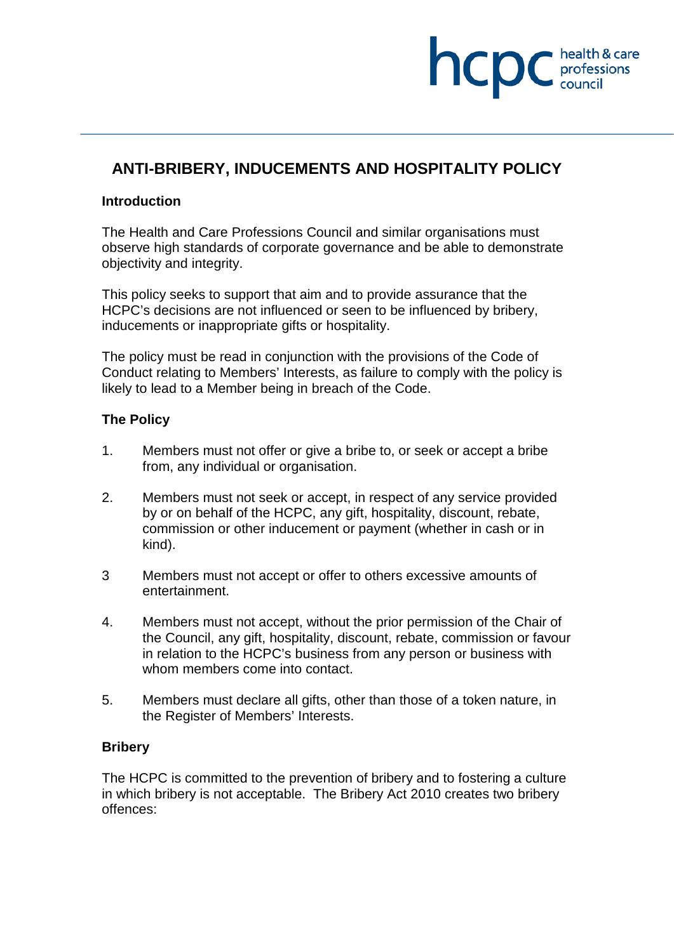# **ANTI-BRIBERY, INDUCEMENTS AND HOSPITALITY POLICY**

hcpc

professions<br>council

### **Introduction**

The Health and Care Professions Council and similar organisations must observe high standards of corporate governance and be able to demonstrate objectivity and integrity.

This policy seeks to support that aim and to provide assurance that the HCPC's decisions are not influenced or seen to be influenced by bribery, inducements or inappropriate gifts or hospitality.

The policy must be read in conjunction with the provisions of the Code of Conduct relating to Members' Interests, as failure to comply with the policy is likely to lead to a Member being in breach of the Code.

### **The Policy**

- 1. Members must not offer or give a bribe to, or seek or accept a bribe from, any individual or organisation.
- 2. Members must not seek or accept, in respect of any service provided by or on behalf of the HCPC, any gift, hospitality, discount, rebate, commission or other inducement or payment (whether in cash or in kind).
- 3 Members must not accept or offer to others excessive amounts of entertainment.
- 4. Members must not accept, without the prior permission of the Chair of the Council, any gift, hospitality, discount, rebate, commission or favour in relation to the HCPC's business from any person or business with whom members come into contact.
- 5. Members must declare all gifts, other than those of a token nature, in the Register of Members' Interests.

### **Bribery**

The HCPC is committed to the prevention of bribery and to fostering a culture in which bribery is not acceptable. The Bribery Act 2010 creates two bribery offences: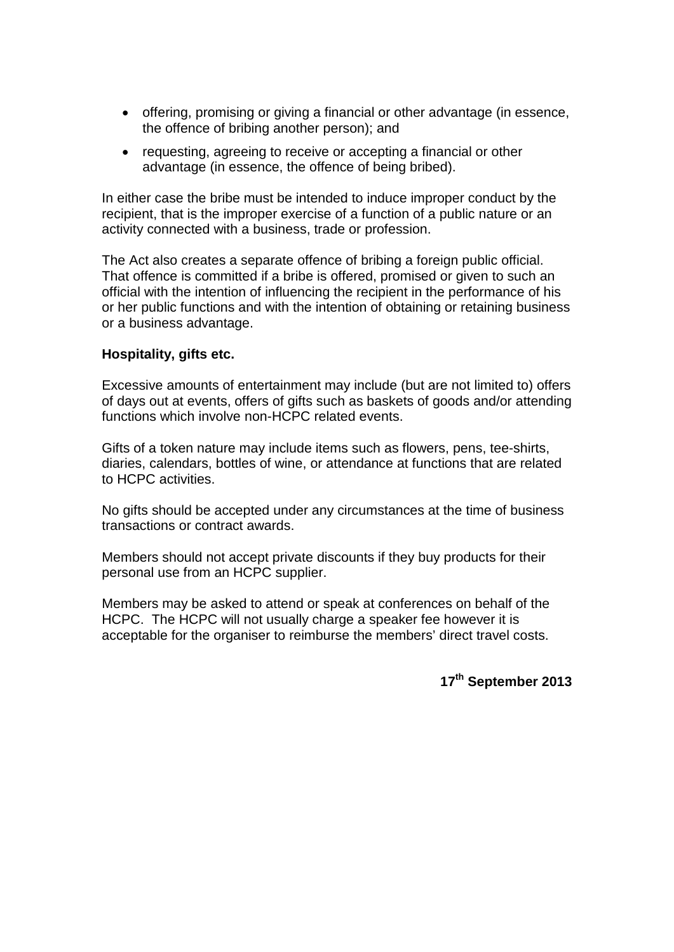- offering, promising or giving a financial or other advantage (in essence, the offence of bribing another person); and
- requesting, agreeing to receive or accepting a financial or other advantage (in essence, the offence of being bribed).

In either case the bribe must be intended to induce improper conduct by the recipient, that is the improper exercise of a function of a public nature or an activity connected with a business, trade or profession.

The Act also creates a separate offence of bribing a foreign public official. That offence is committed if a bribe is offered, promised or given to such an official with the intention of influencing the recipient in the performance of his or her public functions and with the intention of obtaining or retaining business or a business advantage.

### **Hospitality, gifts etc.**

Excessive amounts of entertainment may include (but are not limited to) offers of days out at events, offers of gifts such as baskets of goods and/or attending functions which involve non-HCPC related events.

Gifts of a token nature may include items such as flowers, pens, tee-shirts, diaries, calendars, bottles of wine, or attendance at functions that are related to HCPC activities.

No gifts should be accepted under any circumstances at the time of business transactions or contract awards.

Members should not accept private discounts if they buy products for their personal use from an HCPC supplier.

Members may be asked to attend or speak at conferences on behalf of the HCPC. The HCPC will not usually charge a speaker fee however it is acceptable for the organiser to reimburse the members' direct travel costs.

**17th September 2013**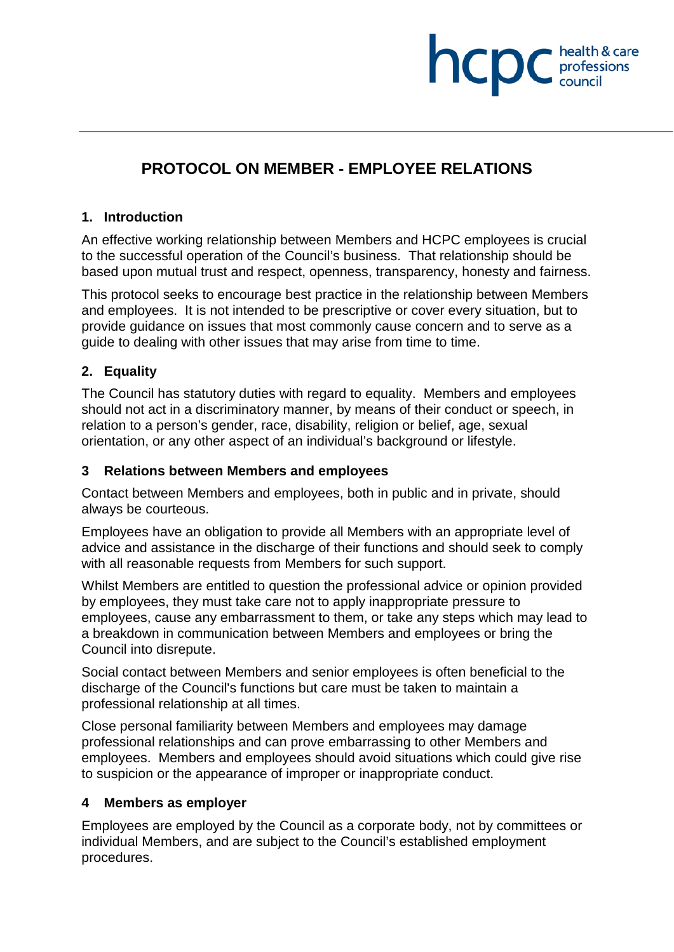# **PROTOCOL ON MEMBER - EMPLOYEE RELATIONS**

**INCDC** *c health & care* 

health & care

### **1. Introduction**

An effective working relationship between Members and HCPC employees is crucial to the successful operation of the Council's business. That relationship should be based upon mutual trust and respect, openness, transparency, honesty and fairness.

This protocol seeks to encourage best practice in the relationship between Members and employees. It is not intended to be prescriptive or cover every situation, but to provide guidance on issues that most commonly cause concern and to serve as a guide to dealing with other issues that may arise from time to time.

### **2. Equality**

The Council has statutory duties with regard to equality. Members and employees should not act in a discriminatory manner, by means of their conduct or speech, in relation to a person's gender, race, disability, religion or belief, age, sexual orientation, or any other aspect of an individual's background or lifestyle.

### **3 Relations between Members and employees**

Contact between Members and employees, both in public and in private, should always be courteous.

Employees have an obligation to provide all Members with an appropriate level of advice and assistance in the discharge of their functions and should seek to comply with all reasonable requests from Members for such support.

Whilst Members are entitled to question the professional advice or opinion provided by employees, they must take care not to apply inappropriate pressure to employees, cause any embarrassment to them, or take any steps which may lead to a breakdown in communication between Members and employees or bring the Council into disrepute.

Social contact between Members and senior employees is often beneficial to the discharge of the Council's functions but care must be taken to maintain a professional relationship at all times.

Close personal familiarity between Members and employees may damage professional relationships and can prove embarrassing to other Members and employees. Members and employees should avoid situations which could give rise to suspicion or the appearance of improper or inappropriate conduct.

### **4 Members as employer**

Employees are employed by the Council as a corporate body, not by committees or individual Members, and are subject to the Council's established employment procedures.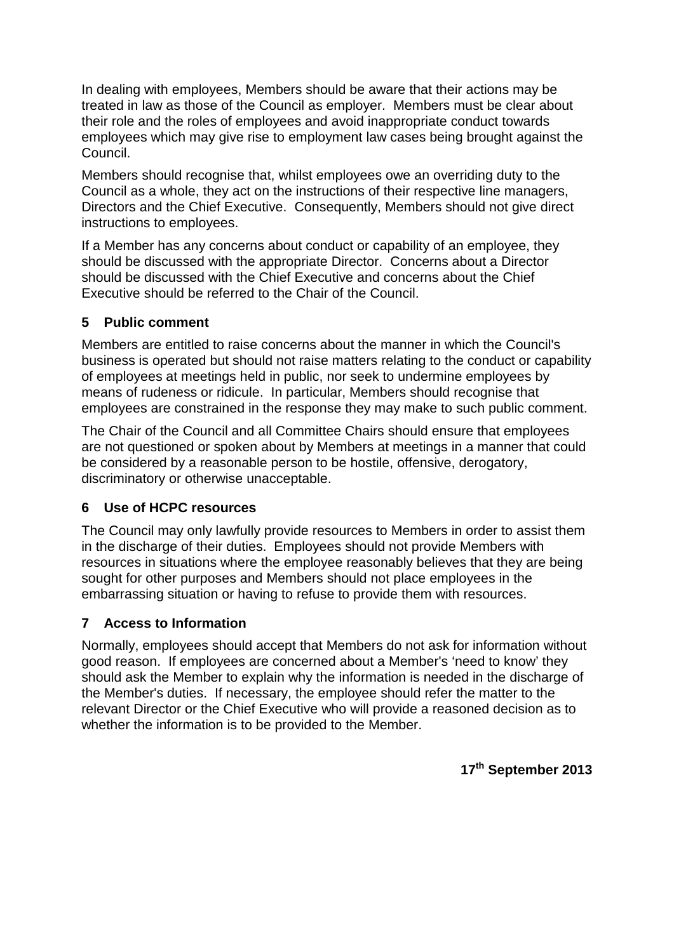In dealing with employees, Members should be aware that their actions may be treated in law as those of the Council as employer. Members must be clear about their role and the roles of employees and avoid inappropriate conduct towards employees which may give rise to employment law cases being brought against the Council.

Members should recognise that, whilst employees owe an overriding duty to the Council as a whole, they act on the instructions of their respective line managers, Directors and the Chief Executive. Consequently, Members should not give direct instructions to employees.

If a Member has any concerns about conduct or capability of an employee, they should be discussed with the appropriate Director. Concerns about a Director should be discussed with the Chief Executive and concerns about the Chief Executive should be referred to the Chair of the Council.

### **5 Public comment**

Members are entitled to raise concerns about the manner in which the Council's business is operated but should not raise matters relating to the conduct or capability of employees at meetings held in public, nor seek to undermine employees by means of rudeness or ridicule. In particular, Members should recognise that employees are constrained in the response they may make to such public comment.

The Chair of the Council and all Committee Chairs should ensure that employees are not questioned or spoken about by Members at meetings in a manner that could be considered by a reasonable person to be hostile, offensive, derogatory, discriminatory or otherwise unacceptable.

# **6 Use of HCPC resources**

The Council may only lawfully provide resources to Members in order to assist them in the discharge of their duties. Employees should not provide Members with resources in situations where the employee reasonably believes that they are being sought for other purposes and Members should not place employees in the embarrassing situation or having to refuse to provide them with resources.

# **7 Access to Information**

Normally, employees should accept that Members do not ask for information without good reason. If employees are concerned about a Member's 'need to know' they should ask the Member to explain why the information is needed in the discharge of the Member's duties. If necessary, the employee should refer the matter to the relevant Director or the Chief Executive who will provide a reasoned decision as to whether the information is to be provided to the Member.

**17th September 2013**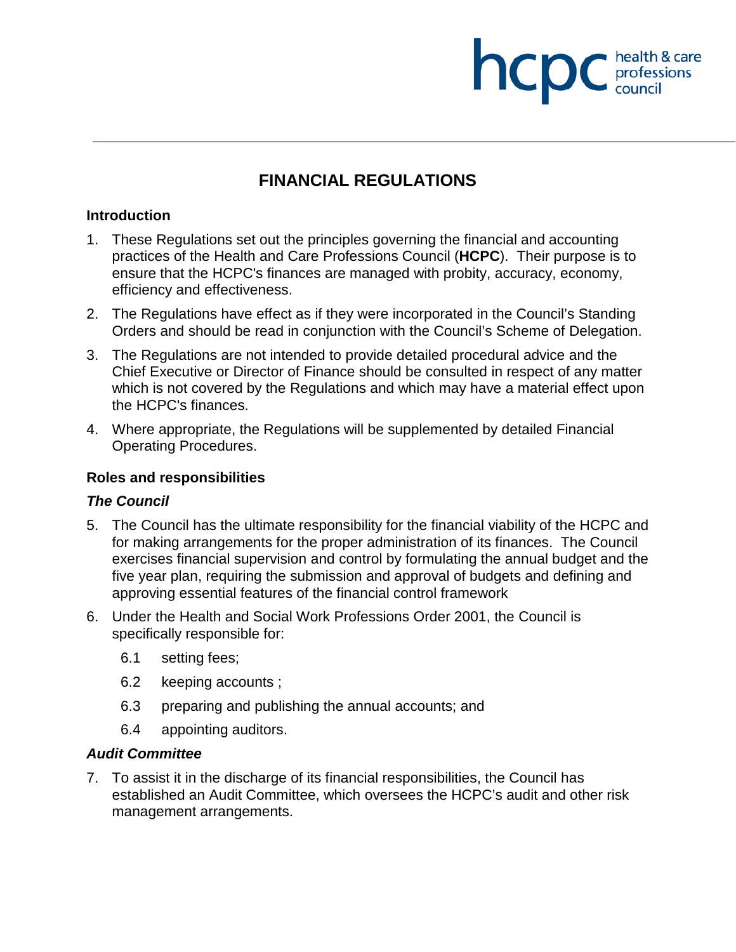# **FINANCIAL REGULATIONS**

**NCDC** health & care

### **Introduction**

- 1. These Regulations set out the principles governing the financial and accounting practices of the Health and Care Professions Council (**HCPC**). Their purpose is to ensure that the HCPC's finances are managed with probity, accuracy, economy, efficiency and effectiveness.
- 2. The Regulations have effect as if they were incorporated in the Council's Standing Orders and should be read in conjunction with the Council's Scheme of Delegation.
- 3. The Regulations are not intended to provide detailed procedural advice and the Chief Executive or Director of Finance should be consulted in respect of any matter which is not covered by the Regulations and which may have a material effect upon the HCPC's finances.
- 4. Where appropriate, the Regulations will be supplemented by detailed Financial Operating Procedures.

### **Roles and responsibilities**

### *The Council*

- 5. The Council has the ultimate responsibility for the financial viability of the HCPC and for making arrangements for the proper administration of its finances. The Council exercises financial supervision and control by formulating the annual budget and the five year plan, requiring the submission and approval of budgets and defining and approving essential features of the financial control framework
- 6. Under the Health and Social Work Professions Order 2001, the Council is specifically responsible for:
	- 6.1 setting fees;
	- 6.2 keeping accounts ;
	- 6.3 preparing and publishing the annual accounts; and
	- 6.4 appointing auditors.

### *Audit Committee*

7. To assist it in the discharge of its financial responsibilities, the Council has established an Audit Committee, which oversees the HCPC's audit and other risk management arrangements.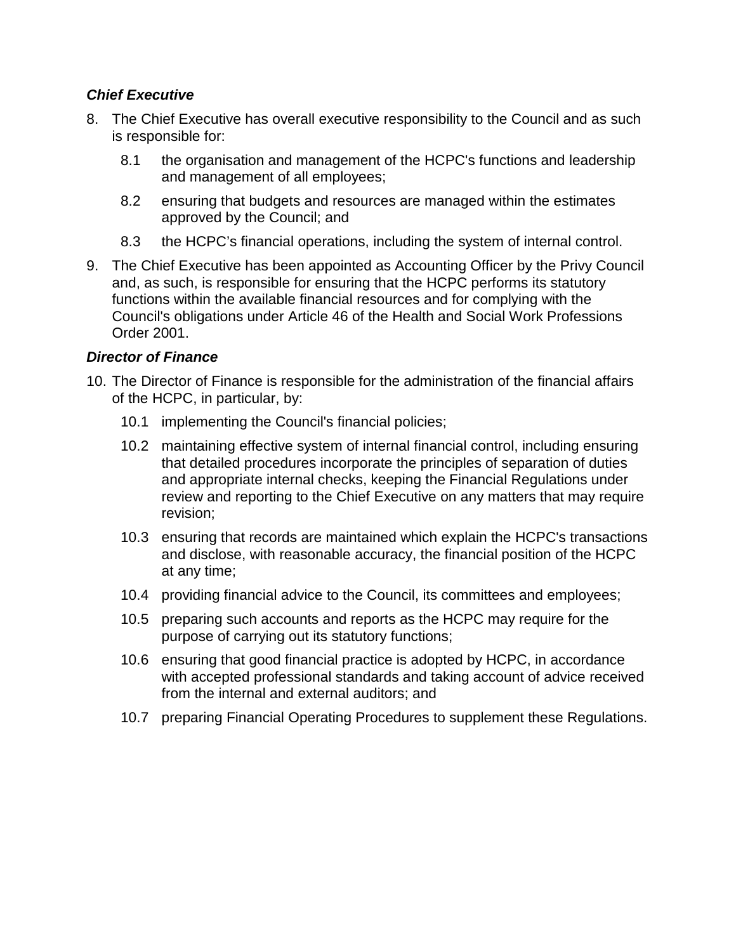### *Chief Executive*

- 8. The Chief Executive has overall executive responsibility to the Council and as such is responsible for:
	- 8.1 the organisation and management of the HCPC's functions and leadership and management of all employees;
	- 8.2 ensuring that budgets and resources are managed within the estimates approved by the Council; and
	- 8.3 the HCPC's financial operations, including the system of internal control.
- 9. The Chief Executive has been appointed as Accounting Officer by the Privy Council and, as such, is responsible for ensuring that the HCPC performs its statutory functions within the available financial resources and for complying with the Council's obligations under Article 46 of the Health and Social Work Professions Order 2001.

### *Director of Finance*

- 10. The Director of Finance is responsible for the administration of the financial affairs of the HCPC, in particular, by:
	- 10.1 implementing the Council's financial policies;
	- 10.2 maintaining effective system of internal financial control, including ensuring that detailed procedures incorporate the principles of separation of duties and appropriate internal checks, keeping the Financial Regulations under review and reporting to the Chief Executive on any matters that may require revision;
	- 10.3 ensuring that records are maintained which explain the HCPC's transactions and disclose, with reasonable accuracy, the financial position of the HCPC at any time;
	- 10.4 providing financial advice to the Council, its committees and employees;
	- 10.5 preparing such accounts and reports as the HCPC may require for the purpose of carrying out its statutory functions;
	- 10.6 ensuring that good financial practice is adopted by HCPC, in accordance with accepted professional standards and taking account of advice received from the internal and external auditors; and
	- 10.7 preparing Financial Operating Procedures to supplement these Regulations.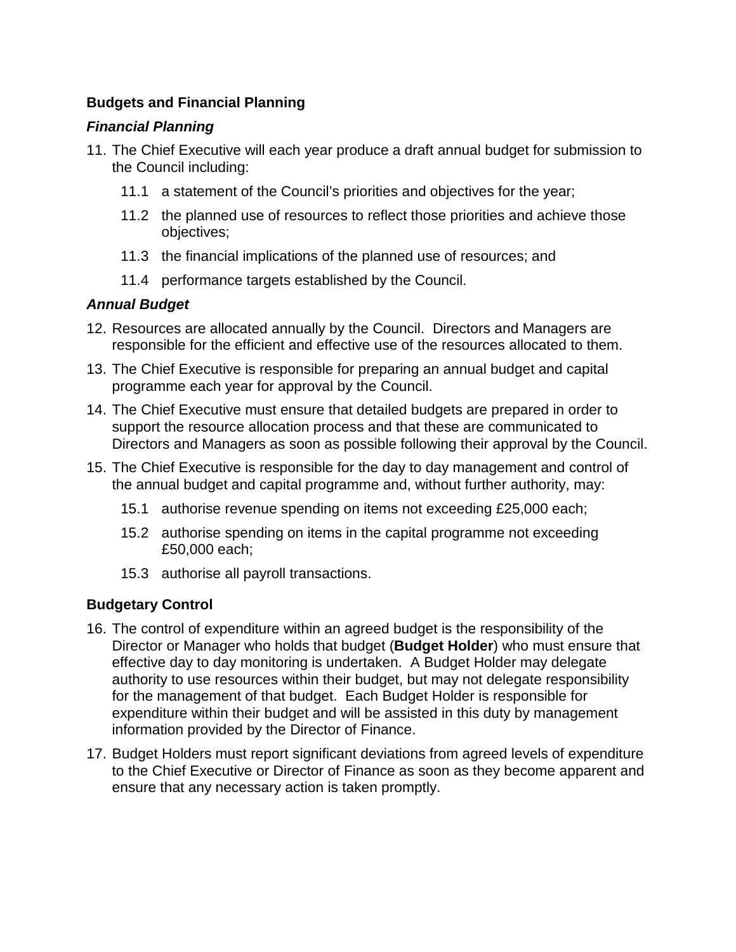### **Budgets and Financial Planning**

### *Financial Planning*

- 11. The Chief Executive will each year produce a draft annual budget for submission to the Council including:
	- 11.1 a statement of the Council's priorities and objectives for the year;
	- 11.2 the planned use of resources to reflect those priorities and achieve those objectives;
	- 11.3 the financial implications of the planned use of resources; and
	- 11.4 performance targets established by the Council.

# *Annual Budget*

- 12. Resources are allocated annually by the Council. Directors and Managers are responsible for the efficient and effective use of the resources allocated to them.
- 13. The Chief Executive is responsible for preparing an annual budget and capital programme each year for approval by the Council.
- 14. The Chief Executive must ensure that detailed budgets are prepared in order to support the resource allocation process and that these are communicated to Directors and Managers as soon as possible following their approval by the Council.
- 15. The Chief Executive is responsible for the day to day management and control of the annual budget and capital programme and, without further authority, may:
	- 15.1 authorise revenue spending on items not exceeding £25,000 each;
	- 15.2 authorise spending on items in the capital programme not exceeding £50,000 each;
	- 15.3 authorise all payroll transactions.

# **Budgetary Control**

- 16. The control of expenditure within an agreed budget is the responsibility of the Director or Manager who holds that budget (**Budget Holder**) who must ensure that effective day to day monitoring is undertaken. A Budget Holder may delegate authority to use resources within their budget, but may not delegate responsibility for the management of that budget. Each Budget Holder is responsible for expenditure within their budget and will be assisted in this duty by management information provided by the Director of Finance.
- 17. Budget Holders must report significant deviations from agreed levels of expenditure to the Chief Executive or Director of Finance as soon as they become apparent and ensure that any necessary action is taken promptly.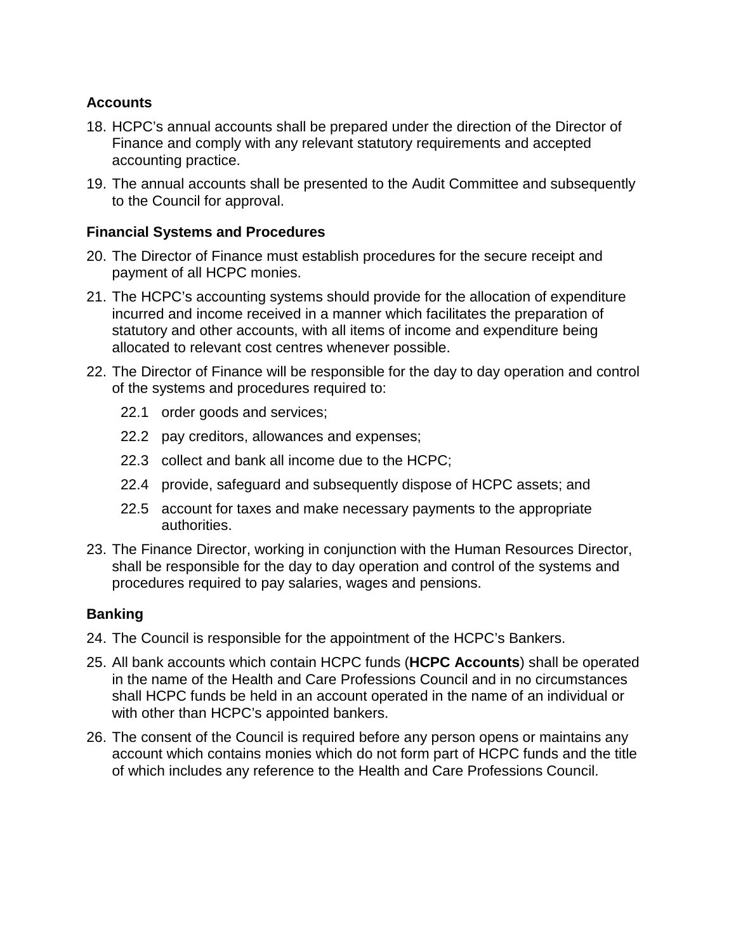### **Accounts**

- 18. HCPC's annual accounts shall be prepared under the direction of the Director of Finance and comply with any relevant statutory requirements and accepted accounting practice.
- 19. The annual accounts shall be presented to the Audit Committee and subsequently to the Council for approval.

### **Financial Systems and Procedures**

- 20. The Director of Finance must establish procedures for the secure receipt and payment of all HCPC monies.
- 21. The HCPC's accounting systems should provide for the allocation of expenditure incurred and income received in a manner which facilitates the preparation of statutory and other accounts, with all items of income and expenditure being allocated to relevant cost centres whenever possible.
- 22. The Director of Finance will be responsible for the day to day operation and control of the systems and procedures required to:
	- 22.1 order goods and services;
	- 22.2 pay creditors, allowances and expenses;
	- 22.3 collect and bank all income due to the HCPC;
	- 22.4 provide, safeguard and subsequently dispose of HCPC assets; and
	- 22.5 account for taxes and make necessary payments to the appropriate authorities.
- 23. The Finance Director, working in conjunction with the Human Resources Director, shall be responsible for the day to day operation and control of the systems and procedures required to pay salaries, wages and pensions.

### **Banking**

- 24. The Council is responsible for the appointment of the HCPC's Bankers.
- 25. All bank accounts which contain HCPC funds (**HCPC Accounts**) shall be operated in the name of the Health and Care Professions Council and in no circumstances shall HCPC funds be held in an account operated in the name of an individual or with other than HCPC's appointed bankers.
- 26. The consent of the Council is required before any person opens or maintains any account which contains monies which do not form part of HCPC funds and the title of which includes any reference to the Health and Care Professions Council.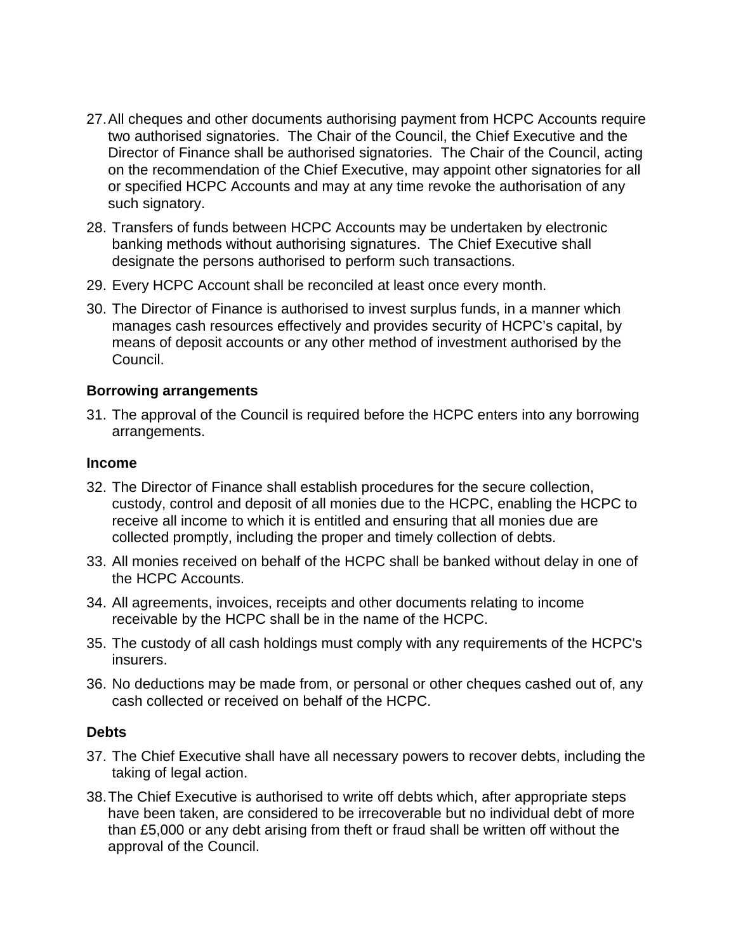- 27.All cheques and other documents authorising payment from HCPC Accounts require two authorised signatories. The Chair of the Council, the Chief Executive and the Director of Finance shall be authorised signatories. The Chair of the Council, acting on the recommendation of the Chief Executive, may appoint other signatories for all or specified HCPC Accounts and may at any time revoke the authorisation of any such signatory.
- 28. Transfers of funds between HCPC Accounts may be undertaken by electronic banking methods without authorising signatures. The Chief Executive shall designate the persons authorised to perform such transactions.
- 29. Every HCPC Account shall be reconciled at least once every month.
- 30. The Director of Finance is authorised to invest surplus funds, in a manner which manages cash resources effectively and provides security of HCPC's capital, by means of deposit accounts or any other method of investment authorised by the Council.

### **Borrowing arrangements**

31. The approval of the Council is required before the HCPC enters into any borrowing arrangements.

### **Income**

- 32. The Director of Finance shall establish procedures for the secure collection, custody, control and deposit of all monies due to the HCPC, enabling the HCPC to receive all income to which it is entitled and ensuring that all monies due are collected promptly, including the proper and timely collection of debts.
- 33. All monies received on behalf of the HCPC shall be banked without delay in one of the HCPC Accounts.
- 34. All agreements, invoices, receipts and other documents relating to income receivable by the HCPC shall be in the name of the HCPC.
- 35. The custody of all cash holdings must comply with any requirements of the HCPC's insurers.
- 36. No deductions may be made from, or personal or other cheques cashed out of, any cash collected or received on behalf of the HCPC.

### **Debts**

- 37. The Chief Executive shall have all necessary powers to recover debts, including the taking of legal action.
- 38.The Chief Executive is authorised to write off debts which, after appropriate steps have been taken, are considered to be irrecoverable but no individual debt of more than £5,000 or any debt arising from theft or fraud shall be written off without the approval of the Council.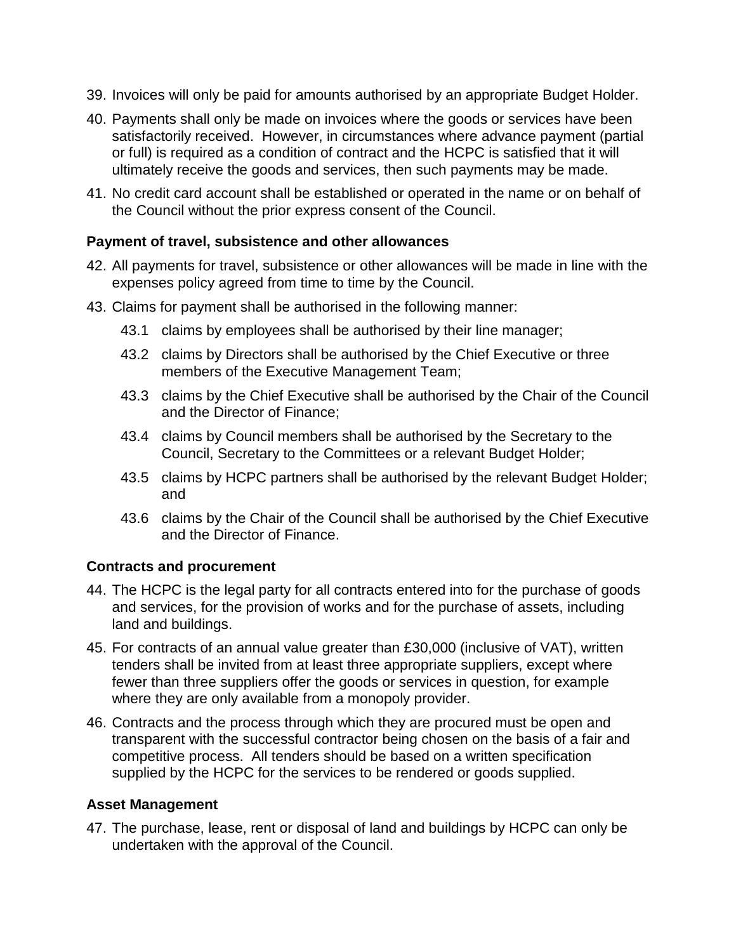- 39. Invoices will only be paid for amounts authorised by an appropriate Budget Holder.
- 40. Payments shall only be made on invoices where the goods or services have been satisfactorily received. However, in circumstances where advance payment (partial or full) is required as a condition of contract and the HCPC is satisfied that it will ultimately receive the goods and services, then such payments may be made.
- 41. No credit card account shall be established or operated in the name or on behalf of the Council without the prior express consent of the Council.

### **Payment of travel, subsistence and other allowances**

- 42. All payments for travel, subsistence or other allowances will be made in line with the expenses policy agreed from time to time by the Council.
- 43. Claims for payment shall be authorised in the following manner:
	- 43.1 claims by employees shall be authorised by their line manager;
	- 43.2 claims by Directors shall be authorised by the Chief Executive or three members of the Executive Management Team;
	- 43.3 claims by the Chief Executive shall be authorised by the Chair of the Council and the Director of Finance;
	- 43.4 claims by Council members shall be authorised by the Secretary to the Council, Secretary to the Committees or a relevant Budget Holder;
	- 43.5 claims by HCPC partners shall be authorised by the relevant Budget Holder; and
	- 43.6 claims by the Chair of the Council shall be authorised by the Chief Executive and the Director of Finance.

### **Contracts and procurement**

- 44. The HCPC is the legal party for all contracts entered into for the purchase of goods and services, for the provision of works and for the purchase of assets, including land and buildings.
- 45. For contracts of an annual value greater than £30,000 (inclusive of VAT), written tenders shall be invited from at least three appropriate suppliers, except where fewer than three suppliers offer the goods or services in question, for example where they are only available from a monopoly provider.
- 46. Contracts and the process through which they are procured must be open and transparent with the successful contractor being chosen on the basis of a fair and competitive process. All tenders should be based on a written specification supplied by the HCPC for the services to be rendered or goods supplied.

### **Asset Management**

47. The purchase, lease, rent or disposal of land and buildings by HCPC can only be undertaken with the approval of the Council.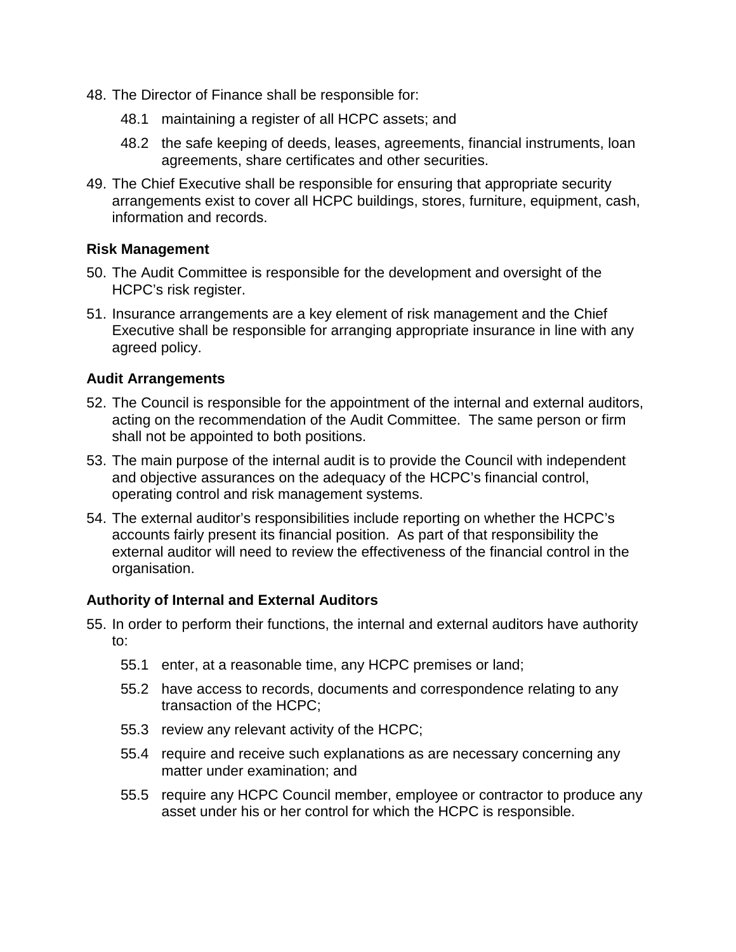- 48. The Director of Finance shall be responsible for:
	- 48.1 maintaining a register of all HCPC assets; and
	- 48.2 the safe keeping of deeds, leases, agreements, financial instruments, loan agreements, share certificates and other securities.
- 49. The Chief Executive shall be responsible for ensuring that appropriate security arrangements exist to cover all HCPC buildings, stores, furniture, equipment, cash, information and records.

### **Risk Management**

- 50. The Audit Committee is responsible for the development and oversight of the HCPC's risk register.
- 51. Insurance arrangements are a key element of risk management and the Chief Executive shall be responsible for arranging appropriate insurance in line with any agreed policy.

### **Audit Arrangements**

- 52. The Council is responsible for the appointment of the internal and external auditors, acting on the recommendation of the Audit Committee. The same person or firm shall not be appointed to both positions.
- 53. The main purpose of the internal audit is to provide the Council with independent and objective assurances on the adequacy of the HCPC's financial control, operating control and risk management systems.
- 54. The external auditor's responsibilities include reporting on whether the HCPC's accounts fairly present its financial position. As part of that responsibility the external auditor will need to review the effectiveness of the financial control in the organisation.

### **Authority of Internal and External Auditors**

- 55. In order to perform their functions, the internal and external auditors have authority to:
	- 55.1 enter, at a reasonable time, any HCPC premises or land;
	- 55.2 have access to records, documents and correspondence relating to any transaction of the HCPC;
	- 55.3 review any relevant activity of the HCPC;
	- 55.4 require and receive such explanations as are necessary concerning any matter under examination; and
	- 55.5 require any HCPC Council member, employee or contractor to produce any asset under his or her control for which the HCPC is responsible.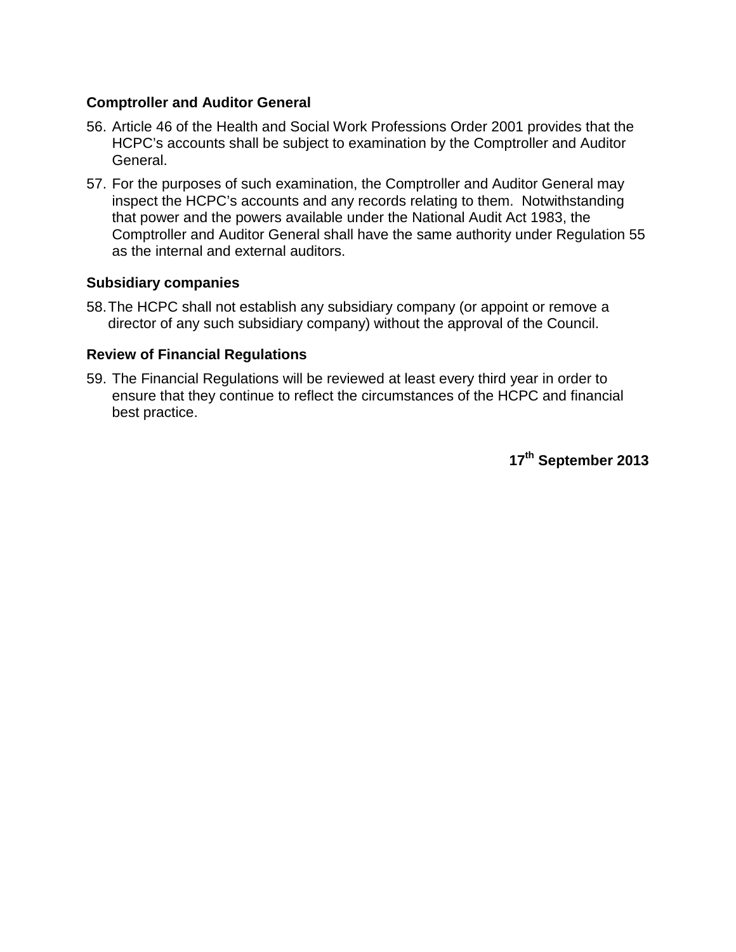### **Comptroller and Auditor General**

- 56. Article 46 of the Health and Social Work Professions Order 2001 provides that the HCPC's accounts shall be subject to examination by the Comptroller and Auditor General.
- 57. For the purposes of such examination, the Comptroller and Auditor General may inspect the HCPC's accounts and any records relating to them. Notwithstanding that power and the powers available under the National Audit Act 1983, the Comptroller and Auditor General shall have the same authority under Regulation 55 as the internal and external auditors.

### **Subsidiary companies**

58.The HCPC shall not establish any subsidiary company (or appoint or remove a director of any such subsidiary company) without the approval of the Council.

### **Review of Financial Regulations**

59. The Financial Regulations will be reviewed at least every third year in order to ensure that they continue to reflect the circumstances of the HCPC and financial best practice.

**17th September 2013**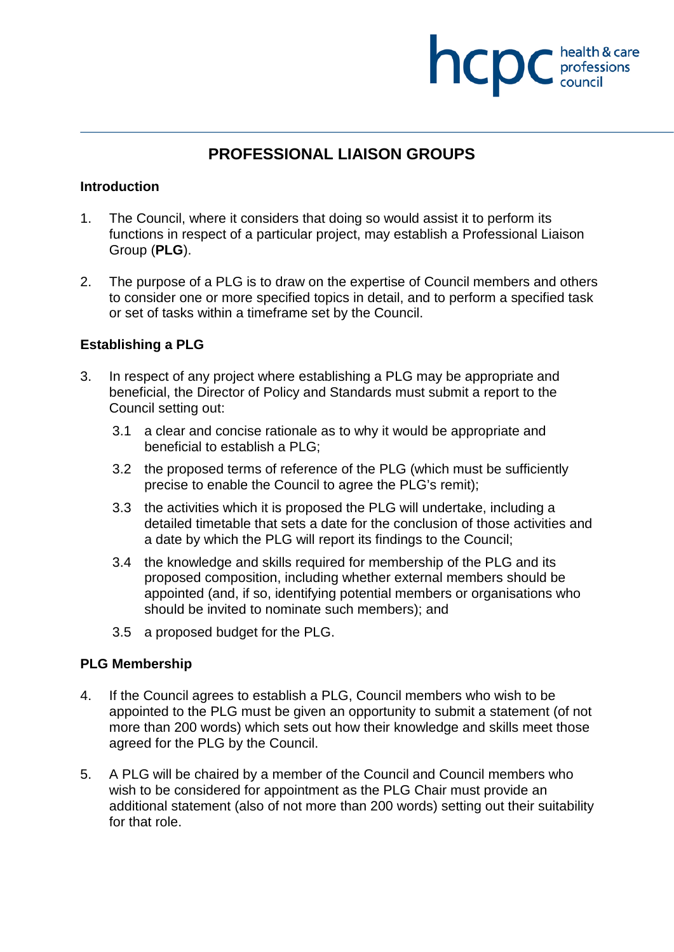# **NCDC** health & care

# **PROFESSIONAL LIAISON GROUPS**

### **Introduction**

- 1. The Council, where it considers that doing so would assist it to perform its functions in respect of a particular project, may establish a Professional Liaison Group (**PLG**).
- 2. The purpose of a PLG is to draw on the expertise of Council members and others to consider one or more specified topics in detail, and to perform a specified task or set of tasks within a timeframe set by the Council.

### **Establishing a PLG**

- 3. In respect of any project where establishing a PLG may be appropriate and beneficial, the Director of Policy and Standards must submit a report to the Council setting out:
	- 3.1 a clear and concise rationale as to why it would be appropriate and beneficial to establish a PLG;
	- 3.2 the proposed terms of reference of the PLG (which must be sufficiently precise to enable the Council to agree the PLG's remit);
	- 3.3 the activities which it is proposed the PLG will undertake, including a detailed timetable that sets a date for the conclusion of those activities and a date by which the PLG will report its findings to the Council;
	- 3.4 the knowledge and skills required for membership of the PLG and its proposed composition, including whether external members should be appointed (and, if so, identifying potential members or organisations who should be invited to nominate such members); and
	- 3.5 a proposed budget for the PLG.

### **PLG Membership**

- 4. If the Council agrees to establish a PLG, Council members who wish to be appointed to the PLG must be given an opportunity to submit a statement (of not more than 200 words) which sets out how their knowledge and skills meet those agreed for the PLG by the Council.
- 5. A PLG will be chaired by a member of the Council and Council members who wish to be considered for appointment as the PLG Chair must provide an additional statement (also of not more than 200 words) setting out their suitability for that role.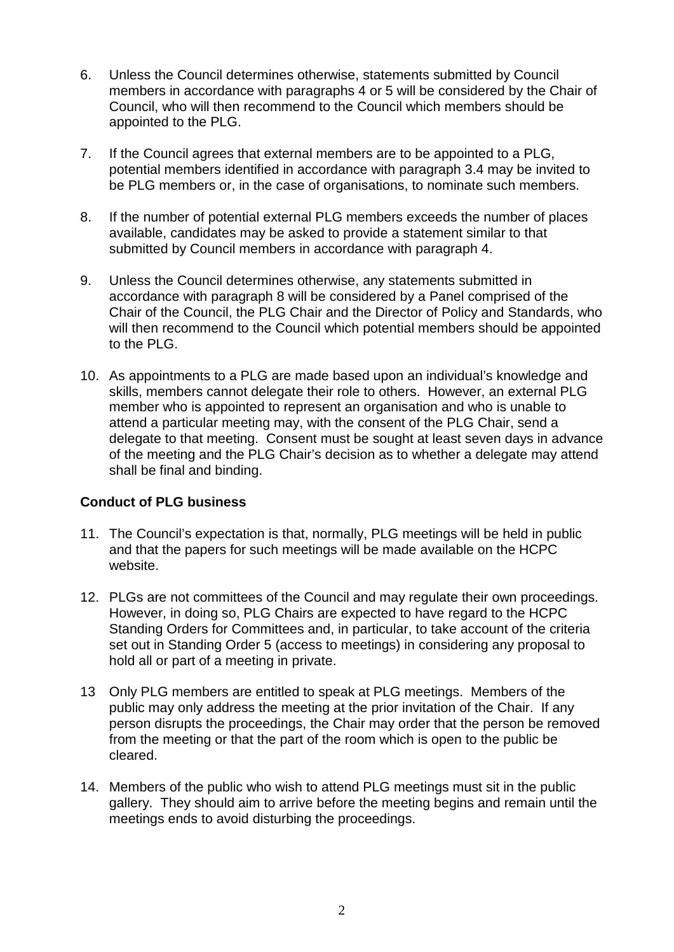- 6. Unless the Council determines otherwise, statements submitted by Council members in accordance with paragraphs 4 or 5 will be considered by the Chair of Council, who will then recommend to the Council which members should be appointed to the PLG.
- 7. If the Council agrees that external members are to be appointed to a PLG, potential members identified in accordance with paragraph 3.4 may be invited to be PLG members or, in the case of organisations, to nominate such members.
- 8. If the number of potential external PLG members exceeds the number of places available, candidates may be asked to provide a statement similar to that submitted by Council members in accordance with paragraph 4.
- 9. Unless the Council determines otherwise, any statements submitted in accordance with paragraph 8 will be considered by a Panel comprised of the Chair of the Council, the PLG Chair and the Director of Policy and Standards, who will then recommend to the Council which potential members should be appointed to the PLG.
- 10. As appointments to a PLG are made based upon an individual's knowledge and skills, members cannot delegate their role to others. However, an external PLG member who is appointed to represent an organisation and who is unable to attend a particular meeting may, with the consent of the PLG Chair, send a delegate to that meeting. Consent must be sought at least seven days in advance of the meeting and the PLG Chair's decision as to whether a delegate may attend shall be final and binding.

### **Conduct of PLG business**

- 11. The Council's expectation is that, normally, PLG meetings will be held in public and that the papers for such meetings will be made available on the HCPC website.
- 12. PLGs are not committees of the Council and may regulate their own proceedings. However, in doing so, PLG Chairs are expected to have regard to the HCPC Standing Orders for Committees and, in particular, to take account of the criteria set out in Standing Order 5 (access to meetings) in considering any proposal to hold all or part of a meeting in private.
- 13 Only PLG members are entitled to speak at PLG meetings. Members of the public may only address the meeting at the prior invitation of the Chair. If any person disrupts the proceedings, the Chair may order that the person be removed from the meeting or that the part of the room which is open to the public be cleared.
- 14. Members of the public who wish to attend PLG meetings must sit in the public gallery. They should aim to arrive before the meeting begins and remain until the meetings ends to avoid disturbing the proceedings.